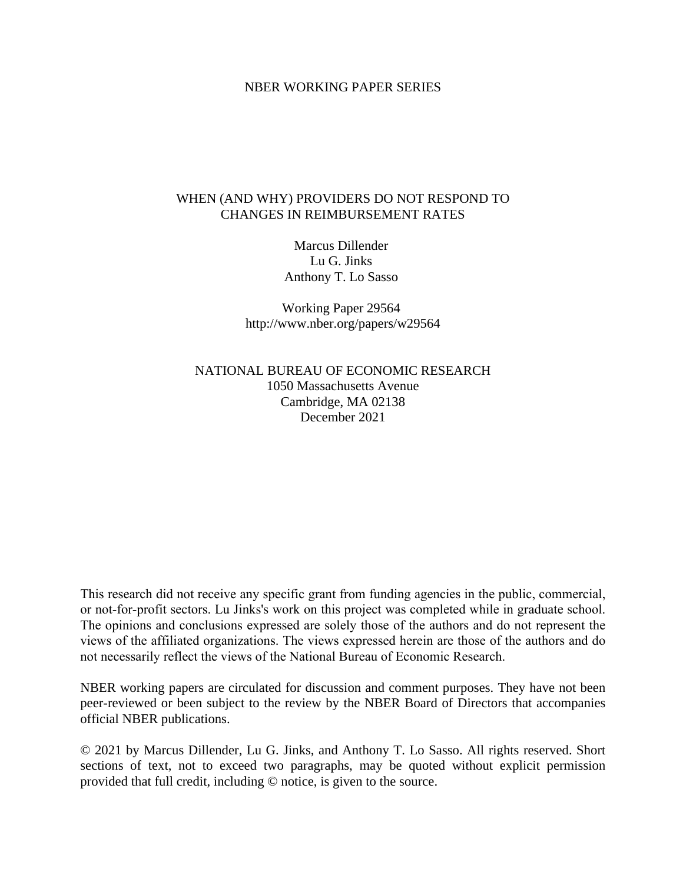### NBER WORKING PAPER SERIES

## WHEN (AND WHY) PROVIDERS DO NOT RESPOND TO CHANGES IN REIMBURSEMENT RATES

Marcus Dillender Lu G. Jinks Anthony T. Lo Sasso

Working Paper 29564 http://www.nber.org/papers/w29564

NATIONAL BUREAU OF ECONOMIC RESEARCH 1050 Massachusetts Avenue Cambridge, MA 02138 December 2021

This research did not receive any specific grant from funding agencies in the public, commercial, or not-for-profit sectors. Lu Jinks's work on this project was completed while in graduate school. The opinions and conclusions expressed are solely those of the authors and do not represent the views of the affiliated organizations. The views expressed herein are those of the authors and do not necessarily reflect the views of the National Bureau of Economic Research.

NBER working papers are circulated for discussion and comment purposes. They have not been peer-reviewed or been subject to the review by the NBER Board of Directors that accompanies official NBER publications.

© 2021 by Marcus Dillender, Lu G. Jinks, and Anthony T. Lo Sasso. All rights reserved. Short sections of text, not to exceed two paragraphs, may be quoted without explicit permission provided that full credit, including © notice, is given to the source.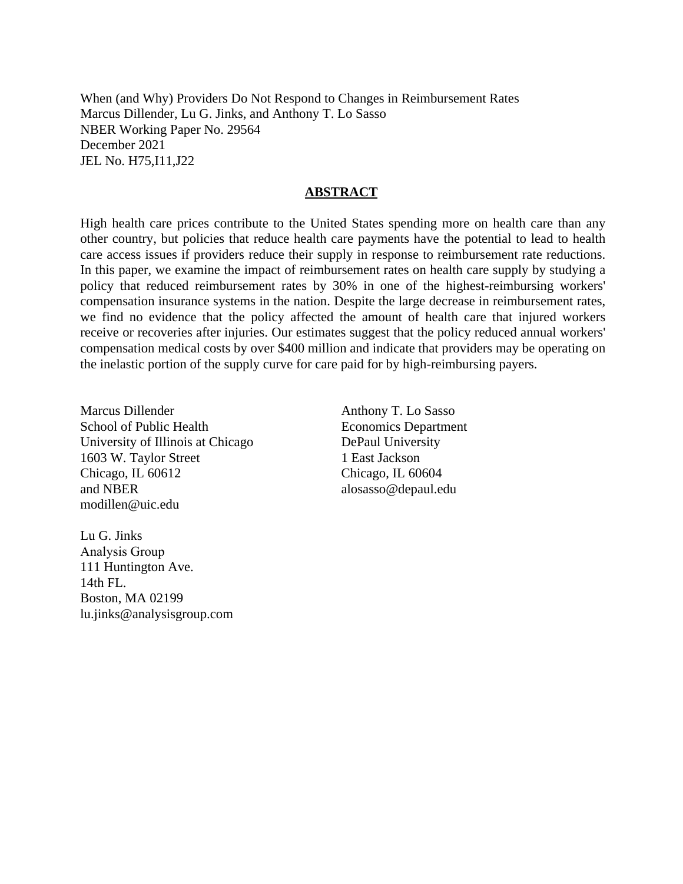When (and Why) Providers Do Not Respond to Changes in Reimbursement Rates Marcus Dillender, Lu G. Jinks, and Anthony T. Lo Sasso NBER Working Paper No. 29564 December 2021 JEL No. H75,I11,J22

### **ABSTRACT**

High health care prices contribute to the United States spending more on health care than any other country, but policies that reduce health care payments have the potential to lead to health care access issues if providers reduce their supply in response to reimbursement rate reductions. In this paper, we examine the impact of reimbursement rates on health care supply by studying a policy that reduced reimbursement rates by 30% in one of the highest-reimbursing workers' compensation insurance systems in the nation. Despite the large decrease in reimbursement rates, we find no evidence that the policy affected the amount of health care that injured workers receive or recoveries after injuries. Our estimates suggest that the policy reduced annual workers' compensation medical costs by over \$400 million and indicate that providers may be operating on the inelastic portion of the supply curve for care paid for by high-reimbursing payers.

Marcus Dillender School of Public Health University of Illinois at Chicago 1603 W. Taylor Street Chicago, IL 60612 and NBER modillen@uic.edu

Anthony T. Lo Sasso Economics Department DePaul University 1 East Jackson Chicago, IL 60604 alosasso@depaul.edu

Lu G. Jinks Analysis Group 111 Huntington Ave. 14th FL. Boston, MA 02199 lu.jinks@analysisgroup.com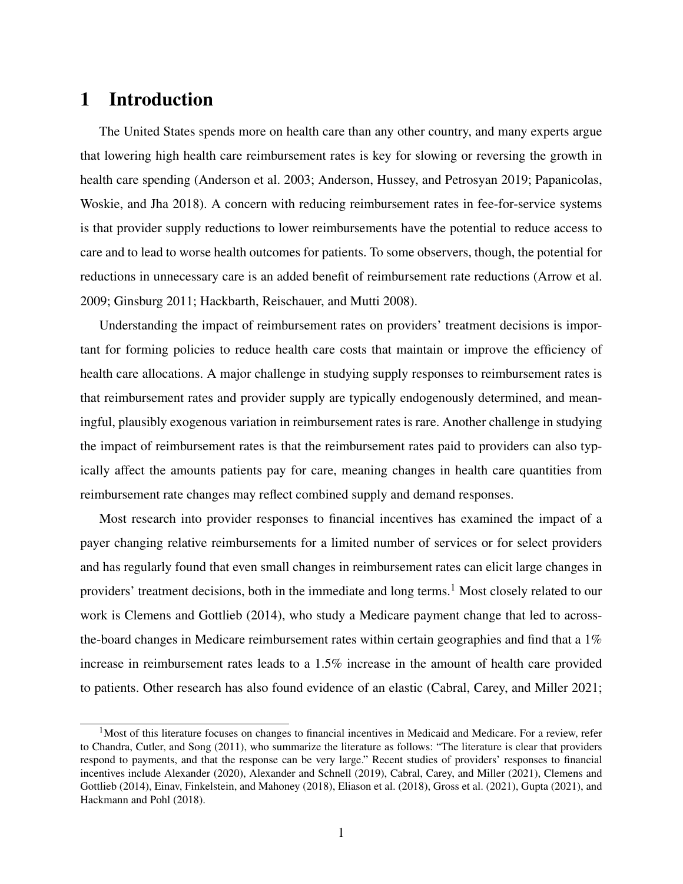## 1 Introduction

The United States spends more on health care than any other country, and many experts argue that lowering high health care reimbursement rates is key for slowing or reversing the growth in health care spending (Anderson et al. 2003; Anderson, Hussey, and Petrosyan 2019; Papanicolas, Woskie, and Jha 2018). A concern with reducing reimbursement rates in fee-for-service systems is that provider supply reductions to lower reimbursements have the potential to reduce access to care and to lead to worse health outcomes for patients. To some observers, though, the potential for reductions in unnecessary care is an added benefit of reimbursement rate reductions (Arrow et al. 2009; Ginsburg 2011; Hackbarth, Reischauer, and Mutti 2008).

Understanding the impact of reimbursement rates on providers' treatment decisions is important for forming policies to reduce health care costs that maintain or improve the efficiency of health care allocations. A major challenge in studying supply responses to reimbursement rates is that reimbursement rates and provider supply are typically endogenously determined, and meaningful, plausibly exogenous variation in reimbursement rates is rare. Another challenge in studying the impact of reimbursement rates is that the reimbursement rates paid to providers can also typically affect the amounts patients pay for care, meaning changes in health care quantities from reimbursement rate changes may reflect combined supply and demand responses.

Most research into provider responses to financial incentives has examined the impact of a payer changing relative reimbursements for a limited number of services or for select providers and has regularly found that even small changes in reimbursement rates can elicit large changes in providers' treatment decisions, both in the immediate and long terms.<sup>1</sup> Most closely related to our work is Clemens and Gottlieb (2014), who study a Medicare payment change that led to acrossthe-board changes in Medicare reimbursement rates within certain geographies and find that a 1% increase in reimbursement rates leads to a 1.5% increase in the amount of health care provided to patients. Other research has also found evidence of an elastic (Cabral, Carey, and Miller 2021;

 $1$ Most of this literature focuses on changes to financial incentives in Medicaid and Medicare. For a review, refer to Chandra, Cutler, and Song (2011), who summarize the literature as follows: "The literature is clear that providers respond to payments, and that the response can be very large." Recent studies of providers' responses to financial incentives include Alexander (2020), Alexander and Schnell (2019), Cabral, Carey, and Miller (2021), Clemens and Gottlieb (2014), Einav, Finkelstein, and Mahoney (2018), Eliason et al. (2018), Gross et al. (2021), Gupta (2021), and Hackmann and Pohl (2018).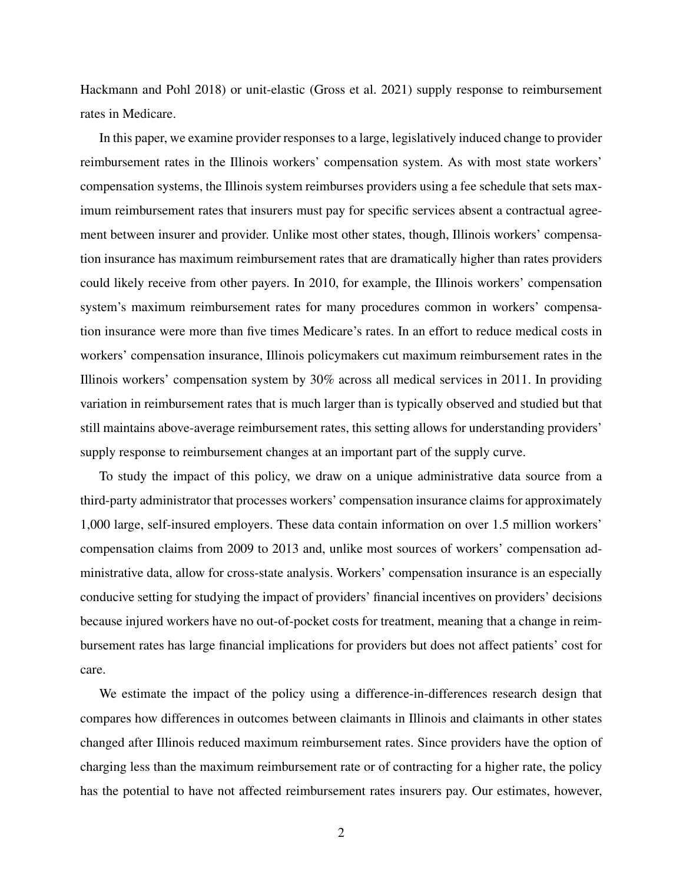Hackmann and Pohl 2018) or unit-elastic (Gross et al. 2021) supply response to reimbursement rates in Medicare.

In this paper, we examine provider responses to a large, legislatively induced change to provider reimbursement rates in the Illinois workers' compensation system. As with most state workers' compensation systems, the Illinois system reimburses providers using a fee schedule that sets maximum reimbursement rates that insurers must pay for specific services absent a contractual agreement between insurer and provider. Unlike most other states, though, Illinois workers' compensation insurance has maximum reimbursement rates that are dramatically higher than rates providers could likely receive from other payers. In 2010, for example, the Illinois workers' compensation system's maximum reimbursement rates for many procedures common in workers' compensation insurance were more than five times Medicare's rates. In an effort to reduce medical costs in workers' compensation insurance, Illinois policymakers cut maximum reimbursement rates in the Illinois workers' compensation system by 30% across all medical services in 2011. In providing variation in reimbursement rates that is much larger than is typically observed and studied but that still maintains above-average reimbursement rates, this setting allows for understanding providers' supply response to reimbursement changes at an important part of the supply curve.

To study the impact of this policy, we draw on a unique administrative data source from a third-party administrator that processes workers' compensation insurance claims for approximately 1,000 large, self-insured employers. These data contain information on over 1.5 million workers' compensation claims from 2009 to 2013 and, unlike most sources of workers' compensation administrative data, allow for cross-state analysis. Workers' compensation insurance is an especially conducive setting for studying the impact of providers' financial incentives on providers' decisions because injured workers have no out-of-pocket costs for treatment, meaning that a change in reimbursement rates has large financial implications for providers but does not affect patients' cost for care.

We estimate the impact of the policy using a difference-in-differences research design that compares how differences in outcomes between claimants in Illinois and claimants in other states changed after Illinois reduced maximum reimbursement rates. Since providers have the option of charging less than the maximum reimbursement rate or of contracting for a higher rate, the policy has the potential to have not affected reimbursement rates insurers pay. Our estimates, however,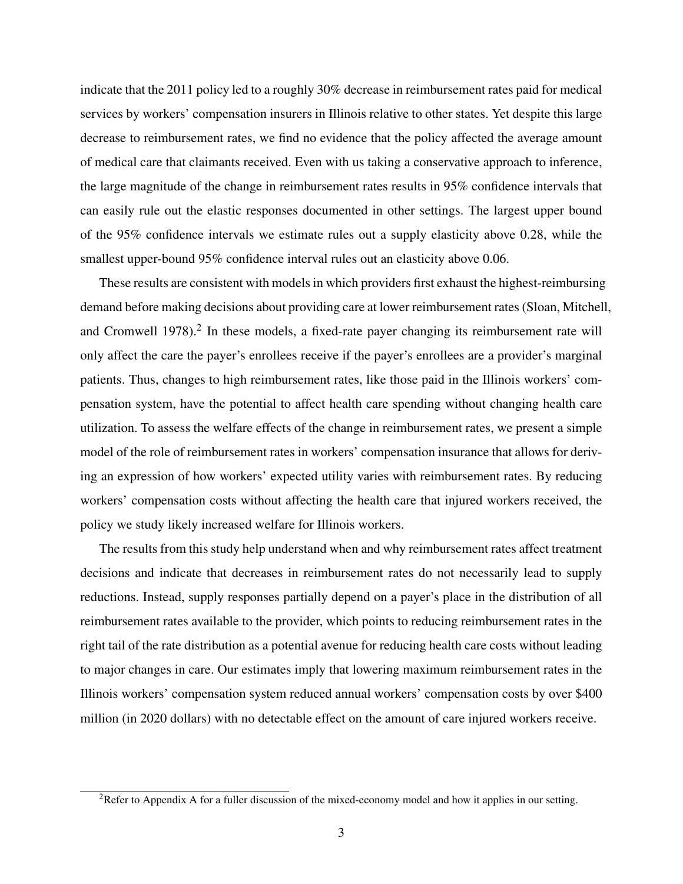indicate that the 2011 policy led to a roughly 30% decrease in reimbursement rates paid for medical services by workers' compensation insurers in Illinois relative to other states. Yet despite this large decrease to reimbursement rates, we find no evidence that the policy affected the average amount of medical care that claimants received. Even with us taking a conservative approach to inference, the large magnitude of the change in reimbursement rates results in 95% confidence intervals that can easily rule out the elastic responses documented in other settings. The largest upper bound of the 95% confidence intervals we estimate rules out a supply elasticity above 0.28, while the smallest upper-bound 95% confidence interval rules out an elasticity above 0.06.

These results are consistent with models in which providers first exhaust the highest-reimbursing demand before making decisions about providing care at lower reimbursement rates (Sloan, Mitchell, and Cromwell 1978).<sup>2</sup> In these models, a fixed-rate payer changing its reimbursement rate will only affect the care the payer's enrollees receive if the payer's enrollees are a provider's marginal patients. Thus, changes to high reimbursement rates, like those paid in the Illinois workers' compensation system, have the potential to affect health care spending without changing health care utilization. To assess the welfare effects of the change in reimbursement rates, we present a simple model of the role of reimbursement rates in workers' compensation insurance that allows for deriving an expression of how workers' expected utility varies with reimbursement rates. By reducing workers' compensation costs without affecting the health care that injured workers received, the policy we study likely increased welfare for Illinois workers.

The results from this study help understand when and why reimbursement rates affect treatment decisions and indicate that decreases in reimbursement rates do not necessarily lead to supply reductions. Instead, supply responses partially depend on a payer's place in the distribution of all reimbursement rates available to the provider, which points to reducing reimbursement rates in the right tail of the rate distribution as a potential avenue for reducing health care costs without leading to major changes in care. Our estimates imply that lowering maximum reimbursement rates in the Illinois workers' compensation system reduced annual workers' compensation costs by over \$400 million (in 2020 dollars) with no detectable effect on the amount of care injured workers receive.

<sup>&</sup>lt;sup>2</sup>Refer to Appendix A for a fuller discussion of the mixed-economy model and how it applies in our setting.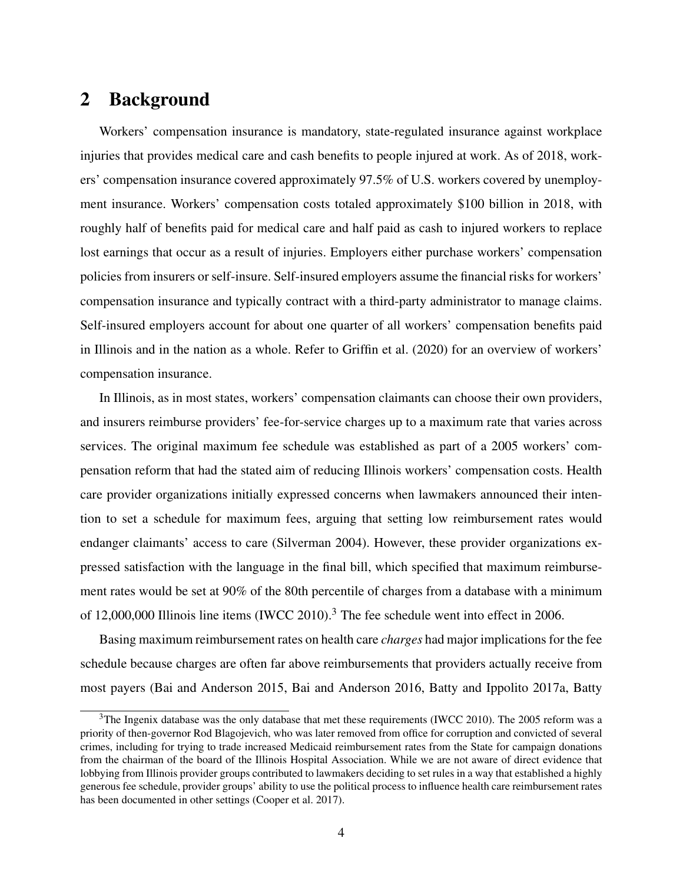# 2 Background

Workers' compensation insurance is mandatory, state-regulated insurance against workplace injuries that provides medical care and cash benefits to people injured at work. As of 2018, workers' compensation insurance covered approximately 97.5% of U.S. workers covered by unemployment insurance. Workers' compensation costs totaled approximately \$100 billion in 2018, with roughly half of benefits paid for medical care and half paid as cash to injured workers to replace lost earnings that occur as a result of injuries. Employers either purchase workers' compensation policies from insurers or self-insure. Self-insured employers assume the financial risks for workers' compensation insurance and typically contract with a third-party administrator to manage claims. Self-insured employers account for about one quarter of all workers' compensation benefits paid in Illinois and in the nation as a whole. Refer to Griffin et al. (2020) for an overview of workers' compensation insurance.

In Illinois, as in most states, workers' compensation claimants can choose their own providers, and insurers reimburse providers' fee-for-service charges up to a maximum rate that varies across services. The original maximum fee schedule was established as part of a 2005 workers' compensation reform that had the stated aim of reducing Illinois workers' compensation costs. Health care provider organizations initially expressed concerns when lawmakers announced their intention to set a schedule for maximum fees, arguing that setting low reimbursement rates would endanger claimants' access to care (Silverman 2004). However, these provider organizations expressed satisfaction with the language in the final bill, which specified that maximum reimbursement rates would be set at 90% of the 80th percentile of charges from a database with a minimum of 12,000,000 Illinois line items (IWCC 2010).<sup>3</sup> The fee schedule went into effect in 2006.

Basing maximum reimbursement rates on health care *charges* had major implications for the fee schedule because charges are often far above reimbursements that providers actually receive from most payers (Bai and Anderson 2015, Bai and Anderson 2016, Batty and Ippolito 2017a, Batty

 $3$ The Ingenix database was the only database that met these requirements (IWCC 2010). The 2005 reform was a priority of then-governor Rod Blagojevich, who was later removed from office for corruption and convicted of several crimes, including for trying to trade increased Medicaid reimbursement rates from the State for campaign donations from the chairman of the board of the Illinois Hospital Association. While we are not aware of direct evidence that lobbying from Illinois provider groups contributed to lawmakers deciding to set rules in a way that established a highly generous fee schedule, provider groups' ability to use the political process to influence health care reimbursement rates has been documented in other settings (Cooper et al. 2017).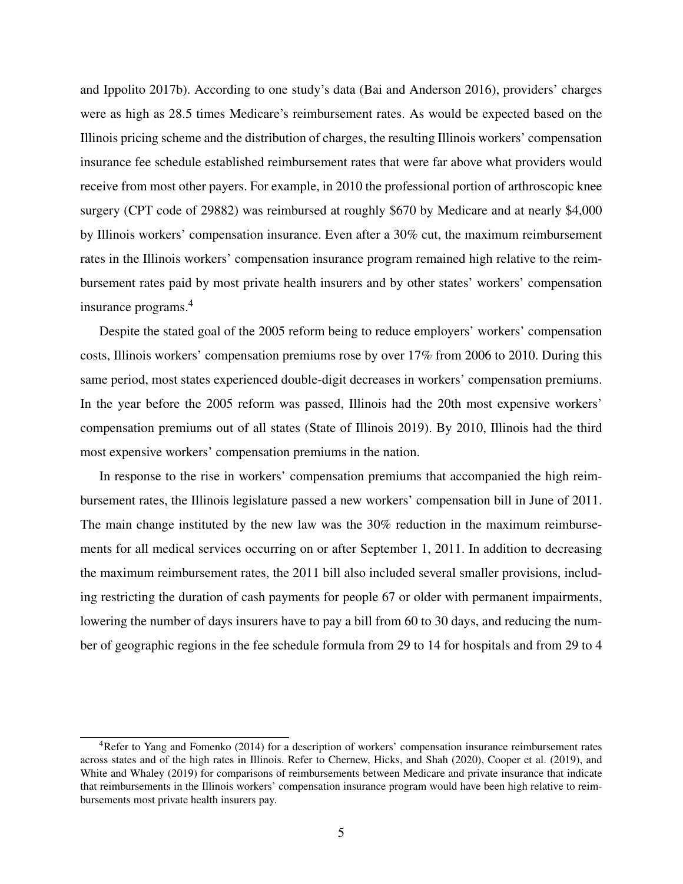and Ippolito 2017b). According to one study's data (Bai and Anderson 2016), providers' charges were as high as 28.5 times Medicare's reimbursement rates. As would be expected based on the Illinois pricing scheme and the distribution of charges, the resulting Illinois workers' compensation insurance fee schedule established reimbursement rates that were far above what providers would receive from most other payers. For example, in 2010 the professional portion of arthroscopic knee surgery (CPT code of 29882) was reimbursed at roughly \$670 by Medicare and at nearly \$4,000 by Illinois workers' compensation insurance. Even after a 30% cut, the maximum reimbursement rates in the Illinois workers' compensation insurance program remained high relative to the reimbursement rates paid by most private health insurers and by other states' workers' compensation insurance programs.<sup>4</sup>

Despite the stated goal of the 2005 reform being to reduce employers' workers' compensation costs, Illinois workers' compensation premiums rose by over 17% from 2006 to 2010. During this same period, most states experienced double-digit decreases in workers' compensation premiums. In the year before the 2005 reform was passed, Illinois had the 20th most expensive workers' compensation premiums out of all states (State of Illinois 2019). By 2010, Illinois had the third most expensive workers' compensation premiums in the nation.

In response to the rise in workers' compensation premiums that accompanied the high reimbursement rates, the Illinois legislature passed a new workers' compensation bill in June of 2011. The main change instituted by the new law was the 30% reduction in the maximum reimbursements for all medical services occurring on or after September 1, 2011. In addition to decreasing the maximum reimbursement rates, the 2011 bill also included several smaller provisions, including restricting the duration of cash payments for people 67 or older with permanent impairments, lowering the number of days insurers have to pay a bill from 60 to 30 days, and reducing the number of geographic regions in the fee schedule formula from 29 to 14 for hospitals and from 29 to 4

<sup>4</sup>Refer to Yang and Fomenko (2014) for a description of workers' compensation insurance reimbursement rates across states and of the high rates in Illinois. Refer to Chernew, Hicks, and Shah (2020), Cooper et al. (2019), and White and Whaley (2019) for comparisons of reimbursements between Medicare and private insurance that indicate that reimbursements in the Illinois workers' compensation insurance program would have been high relative to reimbursements most private health insurers pay.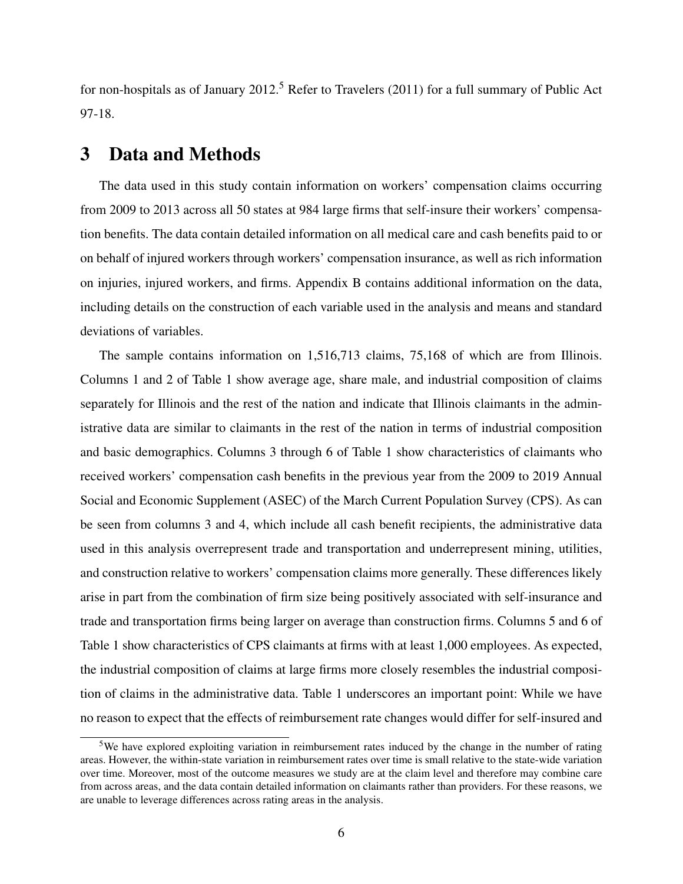for non-hospitals as of January 2012.<sup>5</sup> Refer to Travelers (2011) for a full summary of Public Act 97-18.

## 3 Data and Methods

The data used in this study contain information on workers' compensation claims occurring from 2009 to 2013 across all 50 states at 984 large firms that self-insure their workers' compensation benefits. The data contain detailed information on all medical care and cash benefits paid to or on behalf of injured workers through workers' compensation insurance, as well as rich information on injuries, injured workers, and firms. Appendix B contains additional information on the data, including details on the construction of each variable used in the analysis and means and standard deviations of variables.

The sample contains information on 1,516,713 claims, 75,168 of which are from Illinois. Columns 1 and 2 of Table 1 show average age, share male, and industrial composition of claims separately for Illinois and the rest of the nation and indicate that Illinois claimants in the administrative data are similar to claimants in the rest of the nation in terms of industrial composition and basic demographics. Columns 3 through 6 of Table 1 show characteristics of claimants who received workers' compensation cash benefits in the previous year from the 2009 to 2019 Annual Social and Economic Supplement (ASEC) of the March Current Population Survey (CPS). As can be seen from columns 3 and 4, which include all cash benefit recipients, the administrative data used in this analysis overrepresent trade and transportation and underrepresent mining, utilities, and construction relative to workers' compensation claims more generally. These differences likely arise in part from the combination of firm size being positively associated with self-insurance and trade and transportation firms being larger on average than construction firms. Columns 5 and 6 of Table 1 show characteristics of CPS claimants at firms with at least 1,000 employees. As expected, the industrial composition of claims at large firms more closely resembles the industrial composition of claims in the administrative data. Table 1 underscores an important point: While we have no reason to expect that the effects of reimbursement rate changes would differ for self-insured and

<sup>5</sup>We have explored exploiting variation in reimbursement rates induced by the change in the number of rating areas. However, the within-state variation in reimbursement rates over time is small relative to the state-wide variation over time. Moreover, most of the outcome measures we study are at the claim level and therefore may combine care from across areas, and the data contain detailed information on claimants rather than providers. For these reasons, we are unable to leverage differences across rating areas in the analysis.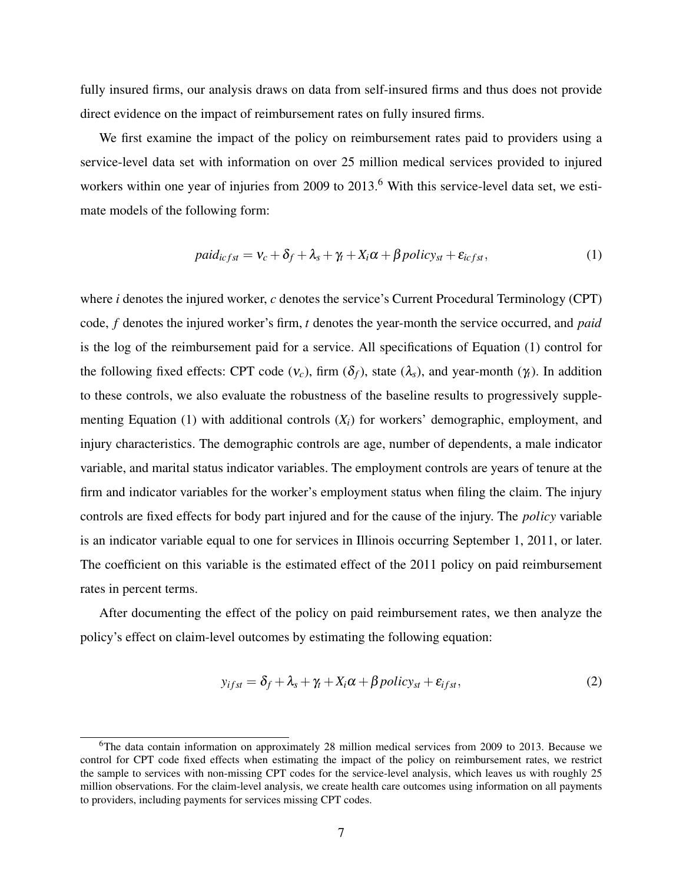fully insured firms, our analysis draws on data from self-insured firms and thus does not provide direct evidence on the impact of reimbursement rates on fully insured firms.

We first examine the impact of the policy on reimbursement rates paid to providers using a service-level data set with information on over 25 million medical services provided to injured workers within one year of injuries from 2009 to 2013.<sup>6</sup> With this service-level data set, we estimate models of the following form:

$$
paid_{icfst} = v_c + \delta_f + \lambda_s + \gamma_t + X_i \alpha + \beta policy_{st} + \varepsilon_{icfst},
$$
\n(1)

where *i* denotes the injured worker, *c* denotes the service's Current Procedural Terminology (CPT) code, *f* denotes the injured worker's firm, *t* denotes the year-month the service occurred, and *paid* is the log of the reimbursement paid for a service. All specifications of Equation (1) control for the following fixed effects: CPT code  $(v_c)$ , firm  $(\delta_f)$ , state  $(\lambda_s)$ , and year-month  $(\gamma_t)$ . In addition to these controls, we also evaluate the robustness of the baseline results to progressively supplementing Equation (1) with additional controls (*Xi*) for workers' demographic, employment, and injury characteristics. The demographic controls are age, number of dependents, a male indicator variable, and marital status indicator variables. The employment controls are years of tenure at the firm and indicator variables for the worker's employment status when filing the claim. The injury controls are fixed effects for body part injured and for the cause of the injury. The *policy* variable is an indicator variable equal to one for services in Illinois occurring September 1, 2011, or later. The coefficient on this variable is the estimated effect of the 2011 policy on paid reimbursement rates in percent terms.

After documenting the effect of the policy on paid reimbursement rates, we then analyze the policy's effect on claim-level outcomes by estimating the following equation:

$$
y_{ifst} = \delta_f + \lambda_s + \gamma_t + X_i \alpha + \beta \text{policy}_{st} + \varepsilon_{ifst},
$$
\n(2)

<sup>6</sup>The data contain information on approximately 28 million medical services from 2009 to 2013. Because we control for CPT code fixed effects when estimating the impact of the policy on reimbursement rates, we restrict the sample to services with non-missing CPT codes for the service-level analysis, which leaves us with roughly 25 million observations. For the claim-level analysis, we create health care outcomes using information on all payments to providers, including payments for services missing CPT codes.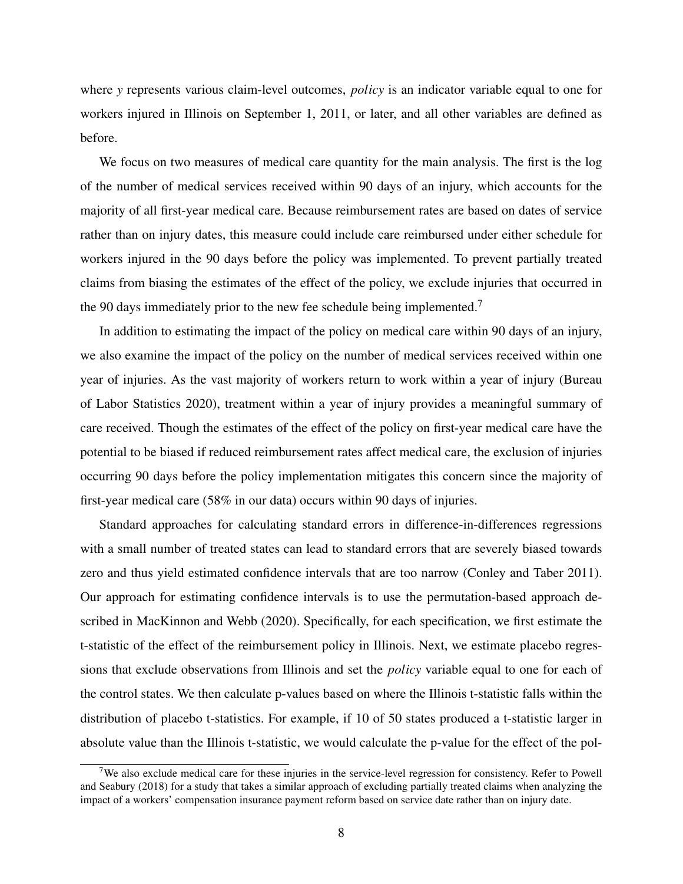where *y* represents various claim-level outcomes, *policy* is an indicator variable equal to one for workers injured in Illinois on September 1, 2011, or later, and all other variables are defined as before.

We focus on two measures of medical care quantity for the main analysis. The first is the log of the number of medical services received within 90 days of an injury, which accounts for the majority of all first-year medical care. Because reimbursement rates are based on dates of service rather than on injury dates, this measure could include care reimbursed under either schedule for workers injured in the 90 days before the policy was implemented. To prevent partially treated claims from biasing the estimates of the effect of the policy, we exclude injuries that occurred in the 90 days immediately prior to the new fee schedule being implemented.<sup>7</sup>

In addition to estimating the impact of the policy on medical care within 90 days of an injury, we also examine the impact of the policy on the number of medical services received within one year of injuries. As the vast majority of workers return to work within a year of injury (Bureau of Labor Statistics 2020), treatment within a year of injury provides a meaningful summary of care received. Though the estimates of the effect of the policy on first-year medical care have the potential to be biased if reduced reimbursement rates affect medical care, the exclusion of injuries occurring 90 days before the policy implementation mitigates this concern since the majority of first-year medical care (58% in our data) occurs within 90 days of injuries.

Standard approaches for calculating standard errors in difference-in-differences regressions with a small number of treated states can lead to standard errors that are severely biased towards zero and thus yield estimated confidence intervals that are too narrow (Conley and Taber 2011). Our approach for estimating confidence intervals is to use the permutation-based approach described in MacKinnon and Webb (2020). Specifically, for each specification, we first estimate the t-statistic of the effect of the reimbursement policy in Illinois. Next, we estimate placebo regressions that exclude observations from Illinois and set the *policy* variable equal to one for each of the control states. We then calculate p-values based on where the Illinois t-statistic falls within the distribution of placebo t-statistics. For example, if 10 of 50 states produced a t-statistic larger in absolute value than the Illinois t-statistic, we would calculate the p-value for the effect of the pol-

<sup>&</sup>lt;sup>7</sup>We also exclude medical care for these injuries in the service-level regression for consistency. Refer to Powell and Seabury (2018) for a study that takes a similar approach of excluding partially treated claims when analyzing the impact of a workers' compensation insurance payment reform based on service date rather than on injury date.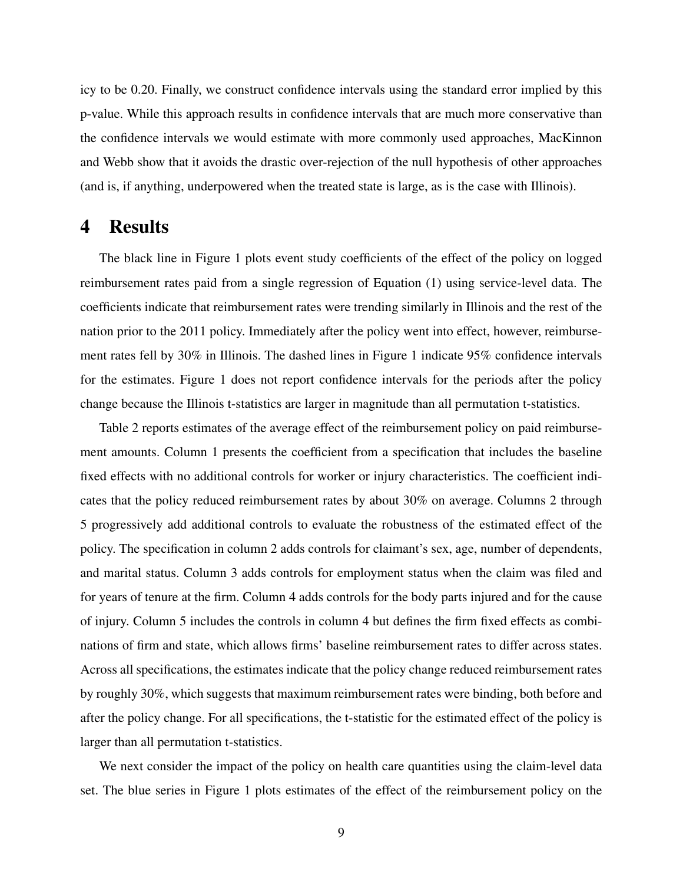icy to be 0.20. Finally, we construct confidence intervals using the standard error implied by this p-value. While this approach results in confidence intervals that are much more conservative than the confidence intervals we would estimate with more commonly used approaches, MacKinnon and Webb show that it avoids the drastic over-rejection of the null hypothesis of other approaches (and is, if anything, underpowered when the treated state is large, as is the case with Illinois).

## 4 Results

The black line in Figure 1 plots event study coefficients of the effect of the policy on logged reimbursement rates paid from a single regression of Equation (1) using service-level data. The coefficients indicate that reimbursement rates were trending similarly in Illinois and the rest of the nation prior to the 2011 policy. Immediately after the policy went into effect, however, reimbursement rates fell by 30% in Illinois. The dashed lines in Figure 1 indicate 95% confidence intervals for the estimates. Figure 1 does not report confidence intervals for the periods after the policy change because the Illinois t-statistics are larger in magnitude than all permutation t-statistics.

Table 2 reports estimates of the average effect of the reimbursement policy on paid reimbursement amounts. Column 1 presents the coefficient from a specification that includes the baseline fixed effects with no additional controls for worker or injury characteristics. The coefficient indicates that the policy reduced reimbursement rates by about 30% on average. Columns 2 through 5 progressively add additional controls to evaluate the robustness of the estimated effect of the policy. The specification in column 2 adds controls for claimant's sex, age, number of dependents, and marital status. Column 3 adds controls for employment status when the claim was filed and for years of tenure at the firm. Column 4 adds controls for the body parts injured and for the cause of injury. Column 5 includes the controls in column 4 but defines the firm fixed effects as combinations of firm and state, which allows firms' baseline reimbursement rates to differ across states. Across all specifications, the estimates indicate that the policy change reduced reimbursement rates by roughly 30%, which suggests that maximum reimbursement rates were binding, both before and after the policy change. For all specifications, the t-statistic for the estimated effect of the policy is larger than all permutation t-statistics.

We next consider the impact of the policy on health care quantities using the claim-level data set. The blue series in Figure 1 plots estimates of the effect of the reimbursement policy on the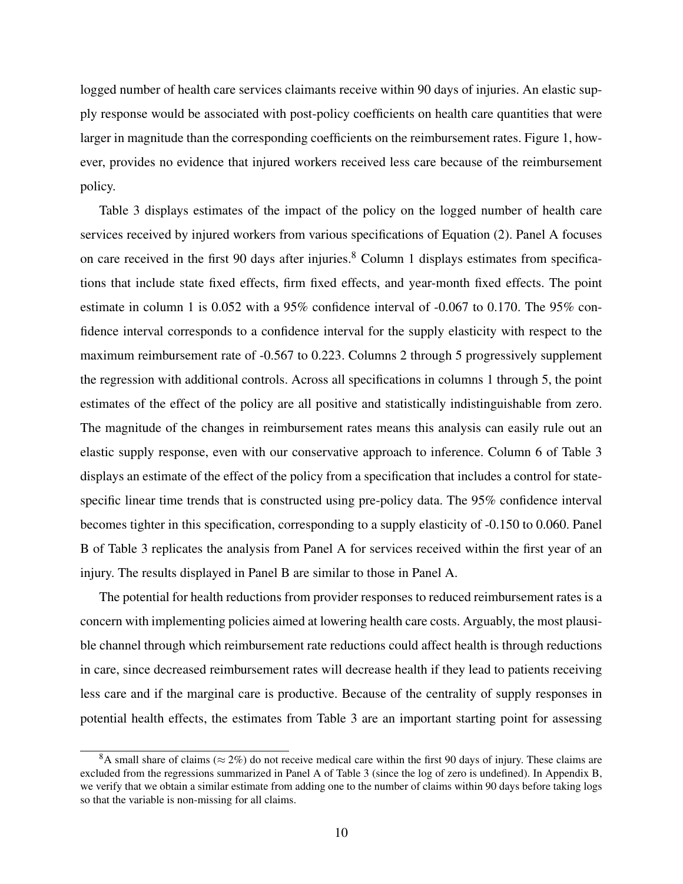logged number of health care services claimants receive within 90 days of injuries. An elastic supply response would be associated with post-policy coefficients on health care quantities that were larger in magnitude than the corresponding coefficients on the reimbursement rates. Figure 1, however, provides no evidence that injured workers received less care because of the reimbursement policy.

Table 3 displays estimates of the impact of the policy on the logged number of health care services received by injured workers from various specifications of Equation (2). Panel A focuses on care received in the first 90 days after injuries.<sup>8</sup> Column 1 displays estimates from specifications that include state fixed effects, firm fixed effects, and year-month fixed effects. The point estimate in column 1 is 0.052 with a 95% confidence interval of -0.067 to 0.170. The 95% confidence interval corresponds to a confidence interval for the supply elasticity with respect to the maximum reimbursement rate of -0.567 to 0.223. Columns 2 through 5 progressively supplement the regression with additional controls. Across all specifications in columns 1 through 5, the point estimates of the effect of the policy are all positive and statistically indistinguishable from zero. The magnitude of the changes in reimbursement rates means this analysis can easily rule out an elastic supply response, even with our conservative approach to inference. Column 6 of Table 3 displays an estimate of the effect of the policy from a specification that includes a control for statespecific linear time trends that is constructed using pre-policy data. The 95% confidence interval becomes tighter in this specification, corresponding to a supply elasticity of -0.150 to 0.060. Panel B of Table 3 replicates the analysis from Panel A for services received within the first year of an injury. The results displayed in Panel B are similar to those in Panel A.

The potential for health reductions from provider responses to reduced reimbursement rates is a concern with implementing policies aimed at lowering health care costs. Arguably, the most plausible channel through which reimbursement rate reductions could affect health is through reductions in care, since decreased reimbursement rates will decrease health if they lead to patients receiving less care and if the marginal care is productive. Because of the centrality of supply responses in potential health effects, the estimates from Table 3 are an important starting point for assessing

<sup>&</sup>lt;sup>8</sup>A small share of claims ( $\approx$  2%) do not receive medical care within the first 90 days of injury. These claims are excluded from the regressions summarized in Panel A of Table 3 (since the log of zero is undefined). In Appendix B, we verify that we obtain a similar estimate from adding one to the number of claims within 90 days before taking logs so that the variable is non-missing for all claims.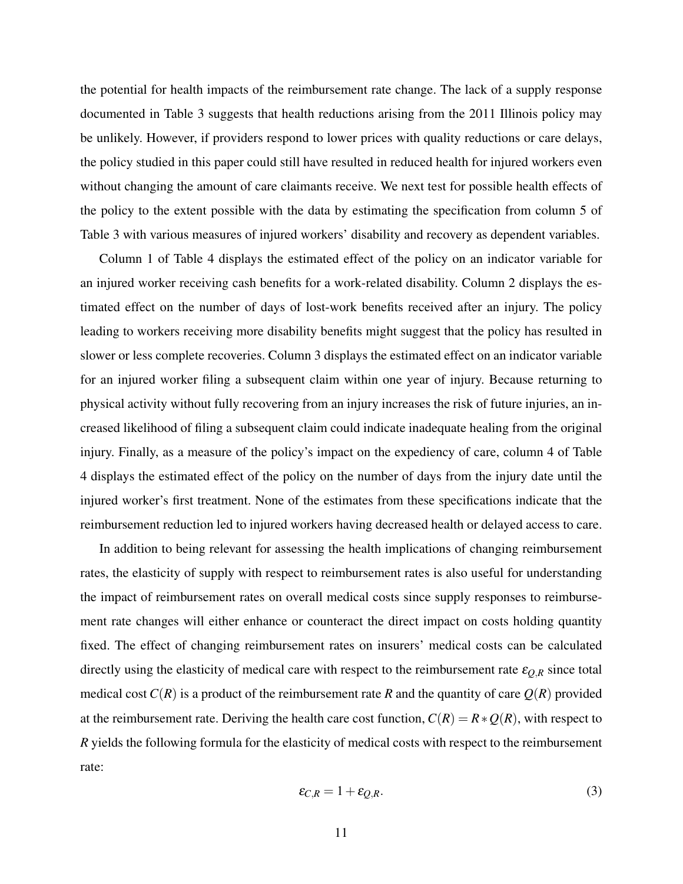the potential for health impacts of the reimbursement rate change. The lack of a supply response documented in Table 3 suggests that health reductions arising from the 2011 Illinois policy may be unlikely. However, if providers respond to lower prices with quality reductions or care delays, the policy studied in this paper could still have resulted in reduced health for injured workers even without changing the amount of care claimants receive. We next test for possible health effects of the policy to the extent possible with the data by estimating the specification from column 5 of Table 3 with various measures of injured workers' disability and recovery as dependent variables.

Column 1 of Table 4 displays the estimated effect of the policy on an indicator variable for an injured worker receiving cash benefits for a work-related disability. Column 2 displays the estimated effect on the number of days of lost-work benefits received after an injury. The policy leading to workers receiving more disability benefits might suggest that the policy has resulted in slower or less complete recoveries. Column 3 displays the estimated effect on an indicator variable for an injured worker filing a subsequent claim within one year of injury. Because returning to physical activity without fully recovering from an injury increases the risk of future injuries, an increased likelihood of filing a subsequent claim could indicate inadequate healing from the original injury. Finally, as a measure of the policy's impact on the expediency of care, column 4 of Table 4 displays the estimated effect of the policy on the number of days from the injury date until the injured worker's first treatment. None of the estimates from these specifications indicate that the reimbursement reduction led to injured workers having decreased health or delayed access to care.

In addition to being relevant for assessing the health implications of changing reimbursement rates, the elasticity of supply with respect to reimbursement rates is also useful for understanding the impact of reimbursement rates on overall medical costs since supply responses to reimbursement rate changes will either enhance or counteract the direct impact on costs holding quantity fixed. The effect of changing reimbursement rates on insurers' medical costs can be calculated directly using the elasticity of medical care with respect to the reimbursement rate  $\varepsilon_{Q,R}$  since total medical cost  $C(R)$  is a product of the reimbursement rate R and the quantity of care  $Q(R)$  provided at the reimbursement rate. Deriving the health care cost function,  $C(R) = R * Q(R)$ , with respect to *R* yields the following formula for the elasticity of medical costs with respect to the reimbursement rate:

$$
\varepsilon_{C,R} = 1 + \varepsilon_{Q,R}.\tag{3}
$$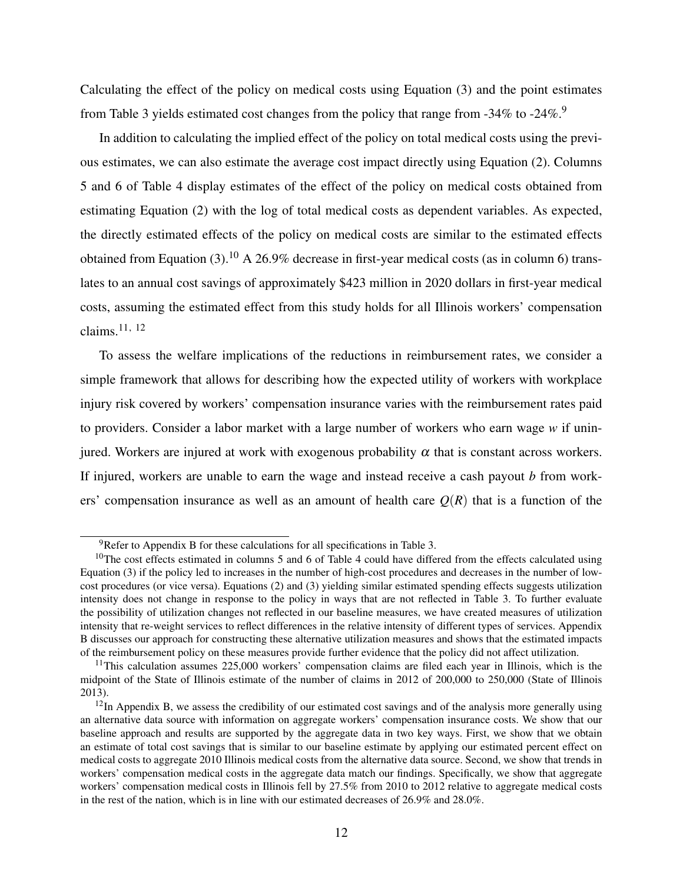Calculating the effect of the policy on medical costs using Equation (3) and the point estimates from Table 3 yields estimated cost changes from the policy that range from -34% to -24%.<sup>9</sup>

In addition to calculating the implied effect of the policy on total medical costs using the previous estimates, we can also estimate the average cost impact directly using Equation (2). Columns 5 and 6 of Table 4 display estimates of the effect of the policy on medical costs obtained from estimating Equation (2) with the log of total medical costs as dependent variables. As expected, the directly estimated effects of the policy on medical costs are similar to the estimated effects obtained from Equation (3).<sup>10</sup> A 26.9% decrease in first-year medical costs (as in column 6) translates to an annual cost savings of approximately \$423 million in 2020 dollars in first-year medical costs, assuming the estimated effect from this study holds for all Illinois workers' compensation claims.<sup>11, 12</sup>

To assess the welfare implications of the reductions in reimbursement rates, we consider a simple framework that allows for describing how the expected utility of workers with workplace injury risk covered by workers' compensation insurance varies with the reimbursement rates paid to providers. Consider a labor market with a large number of workers who earn wage *w* if uninjured. Workers are injured at work with exogenous probability  $\alpha$  that is constant across workers. If injured, workers are unable to earn the wage and instead receive a cash payout *b* from workers' compensation insurance as well as an amount of health care  $O(R)$  that is a function of the

 $9^9$ Refer to Appendix B for these calculations for all specifications in Table 3.

 $10$ The cost effects estimated in columns 5 and 6 of Table 4 could have differed from the effects calculated using Equation (3) if the policy led to increases in the number of high-cost procedures and decreases in the number of lowcost procedures (or vice versa). Equations (2) and (3) yielding similar estimated spending effects suggests utilization intensity does not change in response to the policy in ways that are not reflected in Table 3. To further evaluate the possibility of utilization changes not reflected in our baseline measures, we have created measures of utilization intensity that re-weight services to reflect differences in the relative intensity of different types of services. Appendix B discusses our approach for constructing these alternative utilization measures and shows that the estimated impacts of the reimbursement policy on these measures provide further evidence that the policy did not affect utilization.

 $11$ This calculation assumes 225,000 workers' compensation claims are filed each year in Illinois, which is the midpoint of the State of Illinois estimate of the number of claims in 2012 of 200,000 to 250,000 (State of Illinois 2013).

 $12$ In Appendix B, we assess the credibility of our estimated cost savings and of the analysis more generally using an alternative data source with information on aggregate workers' compensation insurance costs. We show that our baseline approach and results are supported by the aggregate data in two key ways. First, we show that we obtain an estimate of total cost savings that is similar to our baseline estimate by applying our estimated percent effect on medical costs to aggregate 2010 Illinois medical costs from the alternative data source. Second, we show that trends in workers' compensation medical costs in the aggregate data match our findings. Specifically, we show that aggregate workers' compensation medical costs in Illinois fell by 27.5% from 2010 to 2012 relative to aggregate medical costs in the rest of the nation, which is in line with our estimated decreases of 26.9% and 28.0%.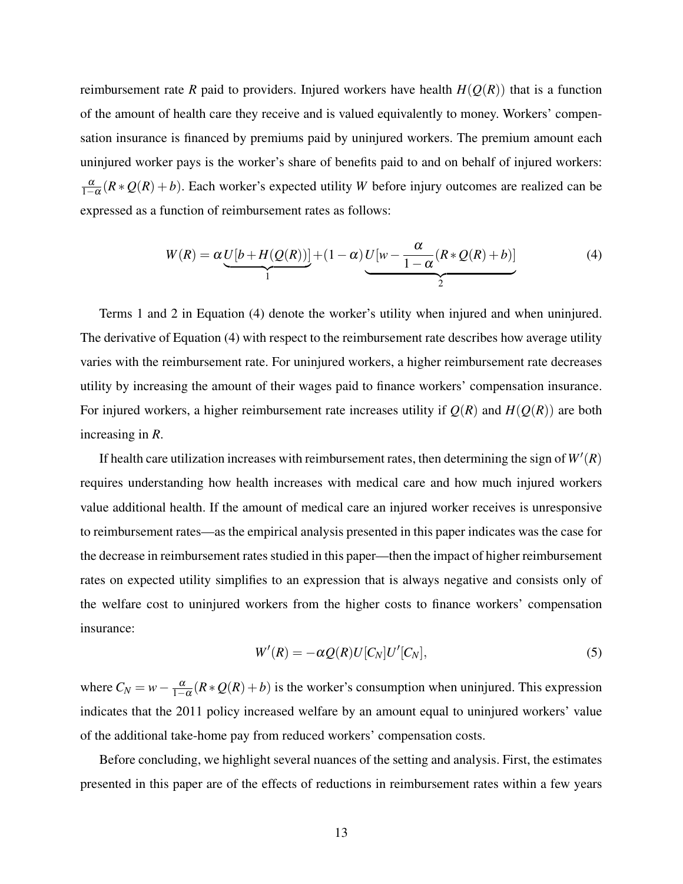reimbursement rate *R* paid to providers. Injured workers have health  $H(Q(R))$  that is a function of the amount of health care they receive and is valued equivalently to money. Workers' compensation insurance is financed by premiums paid by uninjured workers. The premium amount each uninjured worker pays is the worker's share of benefits paid to and on behalf of injured workers:  $\frac{\alpha}{1-\alpha}(R * Q(R) + b)$ . Each worker's expected utility *W* before injury outcomes are realized can be expressed as a function of reimbursement rates as follows:

$$
W(R) = \alpha \underbrace{U[b + H(Q(R))]}_{1} + (1 - \alpha) \underbrace{U[w - \frac{\alpha}{1 - \alpha}(R * Q(R) + b)]}_{2}
$$
(4)

Terms 1 and 2 in Equation (4) denote the worker's utility when injured and when uninjured. The derivative of Equation (4) with respect to the reimbursement rate describes how average utility varies with the reimbursement rate. For uninjured workers, a higher reimbursement rate decreases utility by increasing the amount of their wages paid to finance workers' compensation insurance. For injured workers, a higher reimbursement rate increases utility if  $Q(R)$  and  $H(Q(R))$  are both increasing in *R*.

If health care utilization increases with reimbursement rates, then determining the sign of  $W'(R)$ requires understanding how health increases with medical care and how much injured workers value additional health. If the amount of medical care an injured worker receives is unresponsive to reimbursement rates—as the empirical analysis presented in this paper indicates was the case for the decrease in reimbursement rates studied in this paper—then the impact of higher reimbursement rates on expected utility simplifies to an expression that is always negative and consists only of the welfare cost to uninjured workers from the higher costs to finance workers' compensation insurance:

$$
W'(R) = -\alpha Q(R)U[C_N]U'[C_N],\tag{5}
$$

where  $C_N = w - \frac{\alpha}{1-\alpha}(R * Q(R) + b)$  is the worker's consumption when uninjured. This expression indicates that the 2011 policy increased welfare by an amount equal to uninjured workers' value of the additional take-home pay from reduced workers' compensation costs.

Before concluding, we highlight several nuances of the setting and analysis. First, the estimates presented in this paper are of the effects of reductions in reimbursement rates within a few years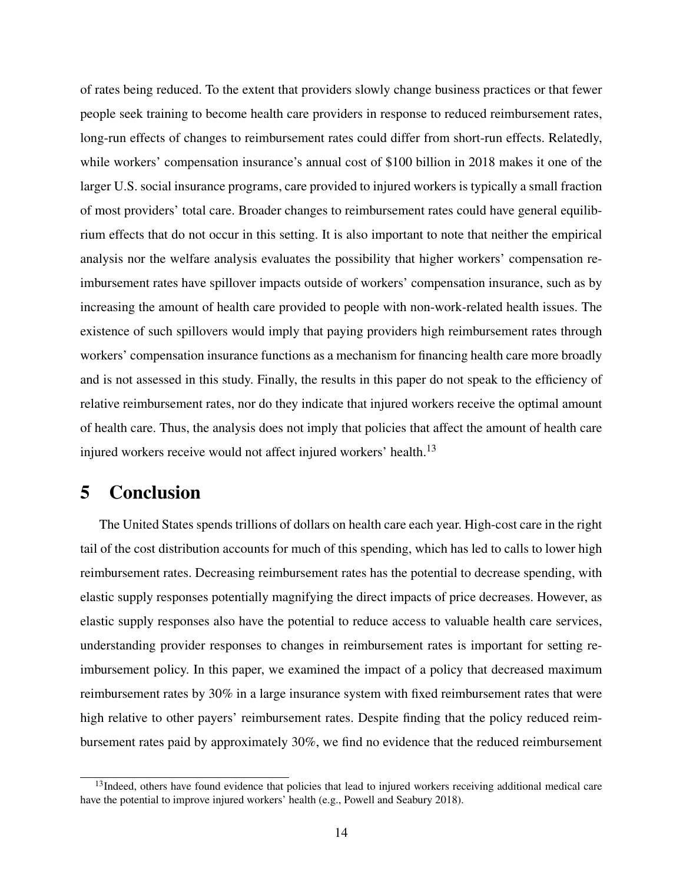of rates being reduced. To the extent that providers slowly change business practices or that fewer people seek training to become health care providers in response to reduced reimbursement rates, long-run effects of changes to reimbursement rates could differ from short-run effects. Relatedly, while workers' compensation insurance's annual cost of \$100 billion in 2018 makes it one of the larger U.S. social insurance programs, care provided to injured workers is typically a small fraction of most providers' total care. Broader changes to reimbursement rates could have general equilibrium effects that do not occur in this setting. It is also important to note that neither the empirical analysis nor the welfare analysis evaluates the possibility that higher workers' compensation reimbursement rates have spillover impacts outside of workers' compensation insurance, such as by increasing the amount of health care provided to people with non-work-related health issues. The existence of such spillovers would imply that paying providers high reimbursement rates through workers' compensation insurance functions as a mechanism for financing health care more broadly and is not assessed in this study. Finally, the results in this paper do not speak to the efficiency of relative reimbursement rates, nor do they indicate that injured workers receive the optimal amount of health care. Thus, the analysis does not imply that policies that affect the amount of health care injured workers receive would not affect injured workers' health.<sup>13</sup>

# 5 Conclusion

The United States spends trillions of dollars on health care each year. High-cost care in the right tail of the cost distribution accounts for much of this spending, which has led to calls to lower high reimbursement rates. Decreasing reimbursement rates has the potential to decrease spending, with elastic supply responses potentially magnifying the direct impacts of price decreases. However, as elastic supply responses also have the potential to reduce access to valuable health care services, understanding provider responses to changes in reimbursement rates is important for setting reimbursement policy. In this paper, we examined the impact of a policy that decreased maximum reimbursement rates by 30% in a large insurance system with fixed reimbursement rates that were high relative to other payers' reimbursement rates. Despite finding that the policy reduced reimbursement rates paid by approximately 30%, we find no evidence that the reduced reimbursement

<sup>&</sup>lt;sup>13</sup>Indeed, others have found evidence that policies that lead to injured workers receiving additional medical care have the potential to improve injured workers' health (e.g., Powell and Seabury 2018).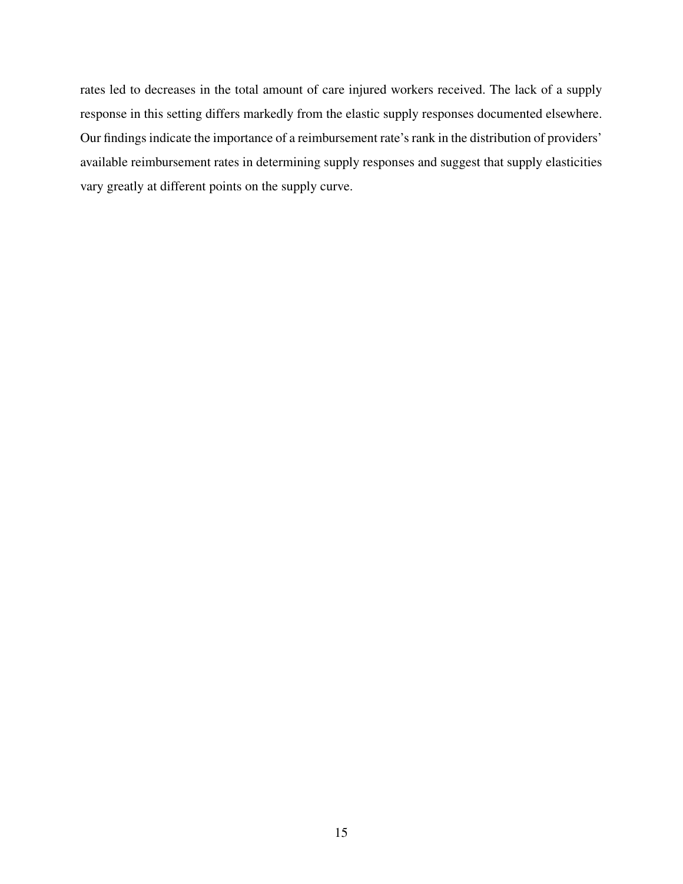rates led to decreases in the total amount of care injured workers received. The lack of a supply response in this setting differs markedly from the elastic supply responses documented elsewhere. Our findings indicate the importance of a reimbursement rate's rank in the distribution of providers' available reimbursement rates in determining supply responses and suggest that supply elasticities vary greatly at different points on the supply curve.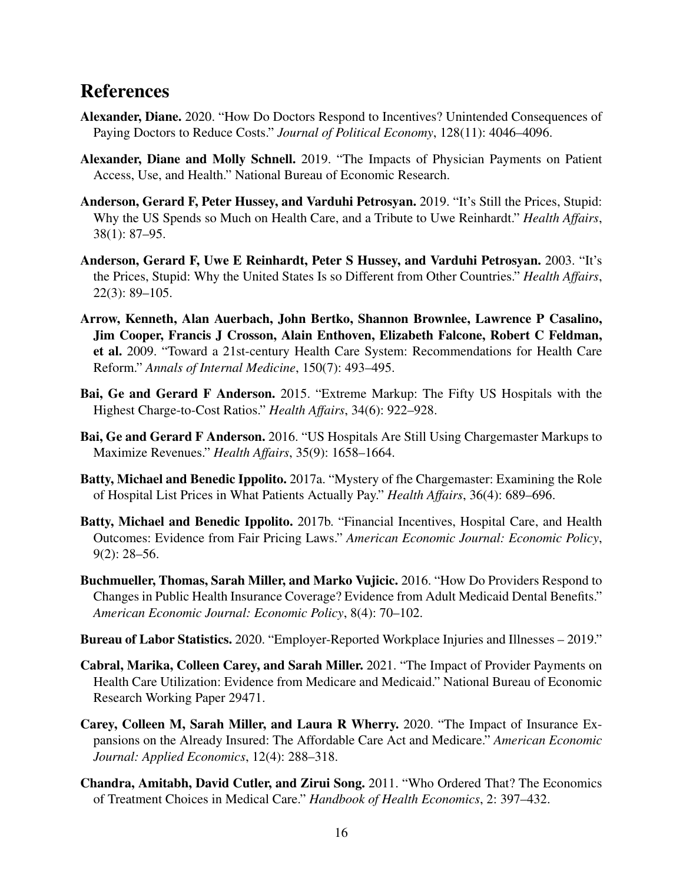# References

- Alexander, Diane. 2020. "How Do Doctors Respond to Incentives? Unintended Consequences of Paying Doctors to Reduce Costs." *Journal of Political Economy*, 128(11): 4046–4096.
- Alexander, Diane and Molly Schnell. 2019. "The Impacts of Physician Payments on Patient Access, Use, and Health." National Bureau of Economic Research.
- Anderson, Gerard F, Peter Hussey, and Varduhi Petrosyan. 2019. "It's Still the Prices, Stupid: Why the US Spends so Much on Health Care, and a Tribute to Uwe Reinhardt." *Health Affairs*, 38(1): 87–95.
- Anderson, Gerard F, Uwe E Reinhardt, Peter S Hussey, and Varduhi Petrosyan. 2003. "It's the Prices, Stupid: Why the United States Is so Different from Other Countries." *Health Affairs*, 22(3): 89–105.
- Arrow, Kenneth, Alan Auerbach, John Bertko, Shannon Brownlee, Lawrence P Casalino, Jim Cooper, Francis J Crosson, Alain Enthoven, Elizabeth Falcone, Robert C Feldman, et al. 2009. "Toward a 21st-century Health Care System: Recommendations for Health Care Reform." *Annals of Internal Medicine*, 150(7): 493–495.
- Bai, Ge and Gerard F Anderson. 2015. "Extreme Markup: The Fifty US Hospitals with the Highest Charge-to-Cost Ratios." *Health Affairs*, 34(6): 922–928.
- Bai, Ge and Gerard F Anderson. 2016. "US Hospitals Are Still Using Chargemaster Markups to Maximize Revenues." *Health Affairs*, 35(9): 1658–1664.
- Batty, Michael and Benedic Ippolito. 2017a. "Mystery of fhe Chargemaster: Examining the Role of Hospital List Prices in What Patients Actually Pay." *Health Affairs*, 36(4): 689–696.
- Batty, Michael and Benedic Ippolito. 2017b. "Financial Incentives, Hospital Care, and Health Outcomes: Evidence from Fair Pricing Laws." *American Economic Journal: Economic Policy*, 9(2): 28–56.
- Buchmueller, Thomas, Sarah Miller, and Marko Vujicic. 2016. "How Do Providers Respond to Changes in Public Health Insurance Coverage? Evidence from Adult Medicaid Dental Benefits." *American Economic Journal: Economic Policy*, 8(4): 70–102.
- Bureau of Labor Statistics. 2020. "Employer-Reported Workplace Injuries and Illnesses 2019."
- Cabral, Marika, Colleen Carey, and Sarah Miller. 2021. "The Impact of Provider Payments on Health Care Utilization: Evidence from Medicare and Medicaid." National Bureau of Economic Research Working Paper 29471.
- Carey, Colleen M, Sarah Miller, and Laura R Wherry. 2020. "The Impact of Insurance Expansions on the Already Insured: The Affordable Care Act and Medicare." *American Economic Journal: Applied Economics*, 12(4): 288–318.
- Chandra, Amitabh, David Cutler, and Zirui Song. 2011. "Who Ordered That? The Economics of Treatment Choices in Medical Care." *Handbook of Health Economics*, 2: 397–432.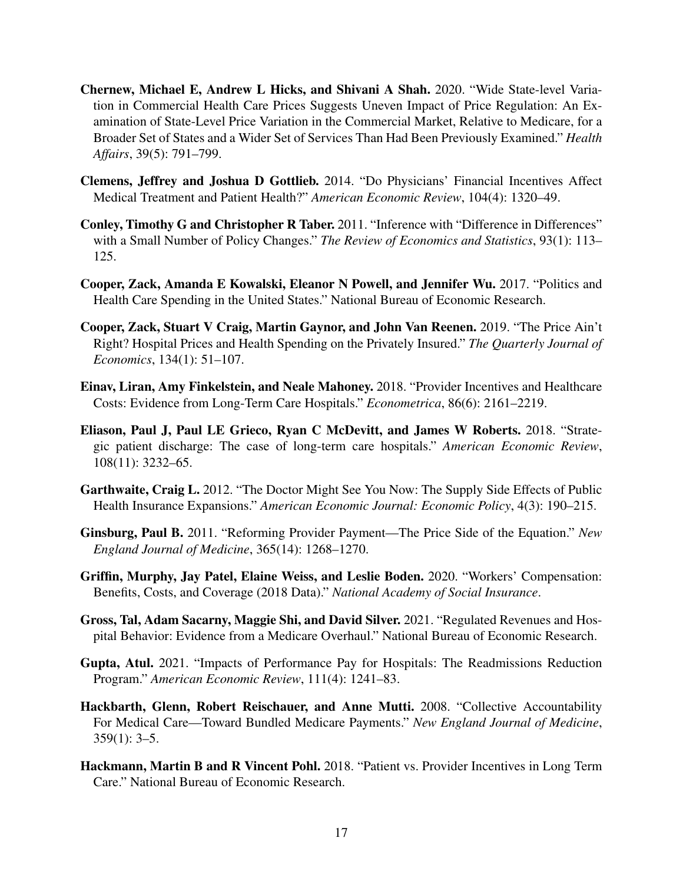- Chernew, Michael E, Andrew L Hicks, and Shivani A Shah. 2020. "Wide State-level Variation in Commercial Health Care Prices Suggests Uneven Impact of Price Regulation: An Examination of State-Level Price Variation in the Commercial Market, Relative to Medicare, for a Broader Set of States and a Wider Set of Services Than Had Been Previously Examined." *Health Affairs*, 39(5): 791–799.
- Clemens, Jeffrey and Joshua D Gottlieb. 2014. "Do Physicians' Financial Incentives Affect Medical Treatment and Patient Health?" *American Economic Review*, 104(4): 1320–49.
- Conley, Timothy G and Christopher R Taber. 2011. "Inference with "Difference in Differences" with a Small Number of Policy Changes." *The Review of Economics and Statistics*, 93(1): 113– 125.
- Cooper, Zack, Amanda E Kowalski, Eleanor N Powell, and Jennifer Wu. 2017. "Politics and Health Care Spending in the United States." National Bureau of Economic Research.
- Cooper, Zack, Stuart V Craig, Martin Gaynor, and John Van Reenen. 2019. "The Price Ain't Right? Hospital Prices and Health Spending on the Privately Insured." *The Quarterly Journal of Economics*, 134(1): 51–107.
- Einav, Liran, Amy Finkelstein, and Neale Mahoney. 2018. "Provider Incentives and Healthcare Costs: Evidence from Long-Term Care Hospitals." *Econometrica*, 86(6): 2161–2219.
- Eliason, Paul J, Paul LE Grieco, Ryan C McDevitt, and James W Roberts. 2018. "Strategic patient discharge: The case of long-term care hospitals." *American Economic Review*, 108(11): 3232–65.
- Garthwaite, Craig L. 2012. "The Doctor Might See You Now: The Supply Side Effects of Public Health Insurance Expansions." *American Economic Journal: Economic Policy*, 4(3): 190–215.
- Ginsburg, Paul B. 2011. "Reforming Provider Payment—The Price Side of the Equation." *New England Journal of Medicine*, 365(14): 1268–1270.
- Griffin, Murphy, Jay Patel, Elaine Weiss, and Leslie Boden. 2020. "Workers' Compensation: Benefits, Costs, and Coverage (2018 Data)." *National Academy of Social Insurance*.
- Gross, Tal, Adam Sacarny, Maggie Shi, and David Silver. 2021. "Regulated Revenues and Hospital Behavior: Evidence from a Medicare Overhaul." National Bureau of Economic Research.
- Gupta, Atul. 2021. "Impacts of Performance Pay for Hospitals: The Readmissions Reduction Program." *American Economic Review*, 111(4): 1241–83.
- Hackbarth, Glenn, Robert Reischauer, and Anne Mutti. 2008. "Collective Accountability For Medical Care—Toward Bundled Medicare Payments." *New England Journal of Medicine*,  $359(1): 3-5.$
- Hackmann, Martin B and R Vincent Pohl. 2018. "Patient vs. Provider Incentives in Long Term Care." National Bureau of Economic Research.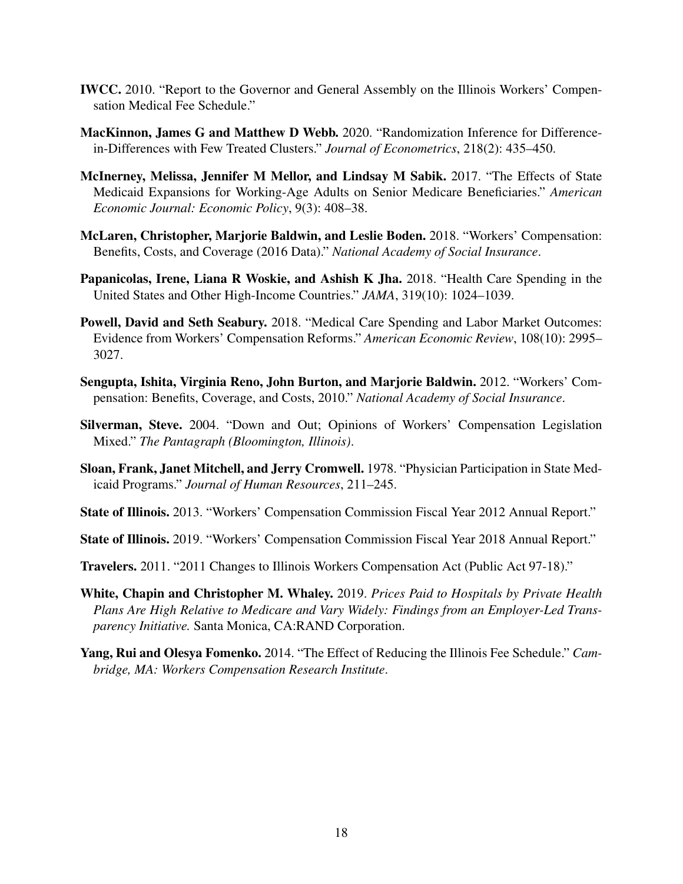- IWCC. 2010. "Report to the Governor and General Assembly on the Illinois Workers' Compensation Medical Fee Schedule."
- MacKinnon, James G and Matthew D Webb. 2020. "Randomization Inference for Differencein-Differences with Few Treated Clusters." *Journal of Econometrics*, 218(2): 435–450.
- McInerney, Melissa, Jennifer M Mellor, and Lindsay M Sabik. 2017. "The Effects of State Medicaid Expansions for Working-Age Adults on Senior Medicare Beneficiaries." *American Economic Journal: Economic Policy*, 9(3): 408–38.
- McLaren, Christopher, Marjorie Baldwin, and Leslie Boden. 2018. "Workers' Compensation: Benefits, Costs, and Coverage (2016 Data)." *National Academy of Social Insurance*.
- Papanicolas, Irene, Liana R Woskie, and Ashish K Jha. 2018. "Health Care Spending in the United States and Other High-Income Countries." *JAMA*, 319(10): 1024–1039.
- Powell, David and Seth Seabury. 2018. "Medical Care Spending and Labor Market Outcomes: Evidence from Workers' Compensation Reforms." *American Economic Review*, 108(10): 2995– 3027.
- Sengupta, Ishita, Virginia Reno, John Burton, and Marjorie Baldwin. 2012. "Workers' Compensation: Benefits, Coverage, and Costs, 2010." *National Academy of Social Insurance*.
- Silverman, Steve. 2004. "Down and Out; Opinions of Workers' Compensation Legislation Mixed." *The Pantagraph (Bloomington, Illinois)*.
- Sloan, Frank, Janet Mitchell, and Jerry Cromwell. 1978. "Physician Participation in State Medicaid Programs." *Journal of Human Resources*, 211–245.
- State of Illinois. 2013. "Workers' Compensation Commission Fiscal Year 2012 Annual Report."
- State of Illinois. 2019. "Workers' Compensation Commission Fiscal Year 2018 Annual Report."
- Travelers. 2011. "2011 Changes to Illinois Workers Compensation Act (Public Act 97-18)."
- White, Chapin and Christopher M. Whaley. 2019. *Prices Paid to Hospitals by Private Health Plans Are High Relative to Medicare and Vary Widely: Findings from an Employer-Led Transparency Initiative.* Santa Monica, CA:RAND Corporation.
- Yang, Rui and Olesya Fomenko. 2014. "The Effect of Reducing the Illinois Fee Schedule." *Cambridge, MA: Workers Compensation Research Institute*.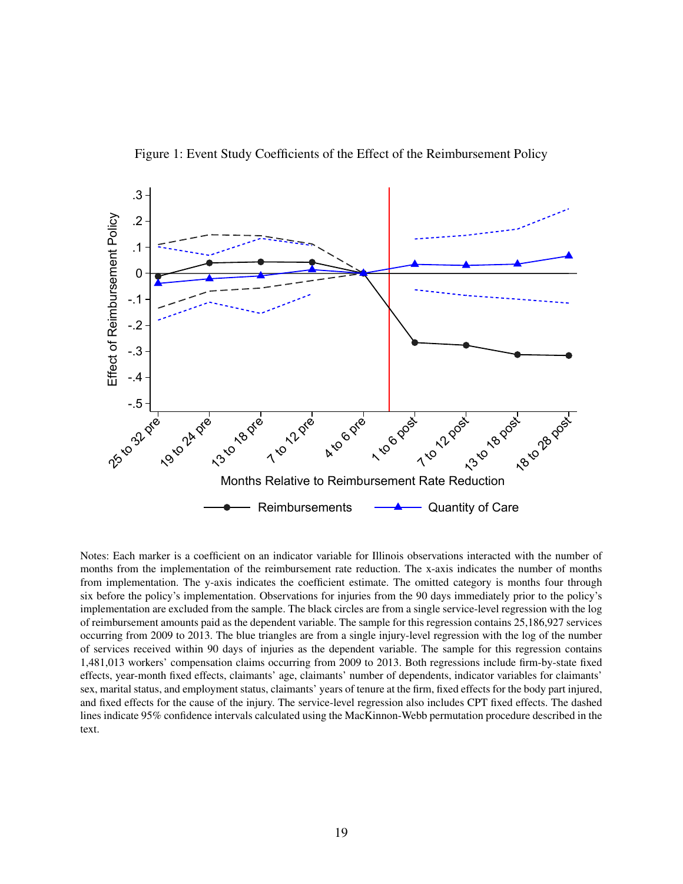



Notes: Each marker is a coefficient on an indicator variable for Illinois observations interacted with the number of months from the implementation of the reimbursement rate reduction. The x-axis indicates the number of months from implementation. The y-axis indicates the coefficient estimate. The omitted category is months four through six before the policy's implementation. Observations for injuries from the 90 days immediately prior to the policy's implementation are excluded from the sample. The black circles are from a single service-level regression with the log of reimbursement amounts paid as the dependent variable. The sample for this regression contains 25,186,927 services occurring from 2009 to 2013. The blue triangles are from a single injury-level regression with the log of the number of services received within 90 days of injuries as the dependent variable. The sample for this regression contains 1,481,013 workers' compensation claims occurring from 2009 to 2013. Both regressions include firm-by-state fixed effects, year-month fixed effects, claimants' age, claimants' number of dependents, indicator variables for claimants' sex, marital status, and employment status, claimants' years of tenure at the firm, fixed effects for the body part injured, and fixed effects for the cause of the injury. The service-level regression also includes CPT fixed effects. The dashed lines indicate 95% confidence intervals calculated using the MacKinnon-Webb permutation procedure described in the text.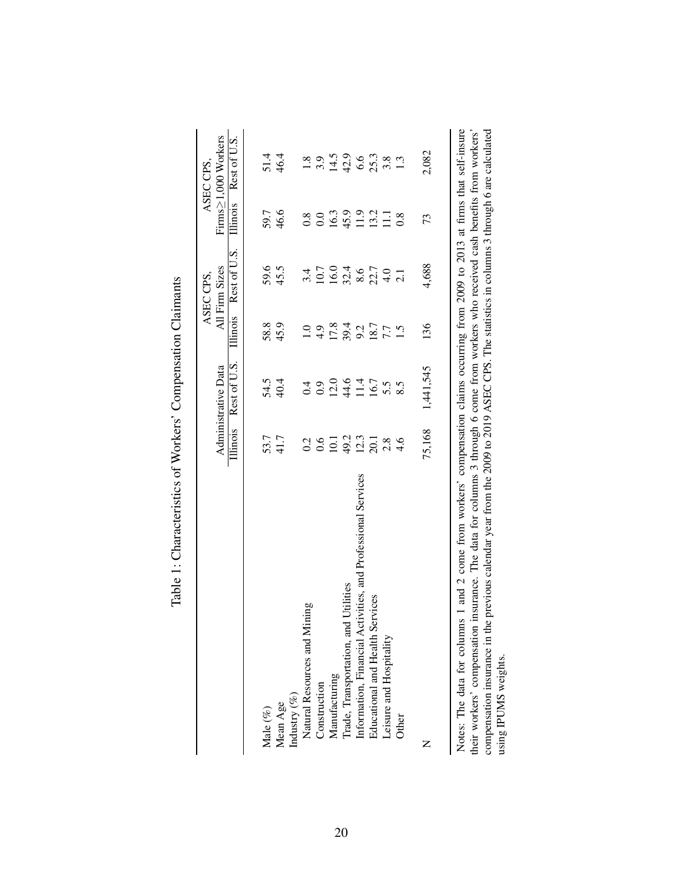|                                                                                                                                                                                                                                                                        |                   |                                                                                                                                                                                                                                                                                                                                  |                 | ASEC CPS.      |          | ASEC CPS,           |
|------------------------------------------------------------------------------------------------------------------------------------------------------------------------------------------------------------------------------------------------------------------------|-------------------|----------------------------------------------------------------------------------------------------------------------------------------------------------------------------------------------------------------------------------------------------------------------------------------------------------------------------------|-----------------|----------------|----------|---------------------|
|                                                                                                                                                                                                                                                                        |                   | Administrative Data                                                                                                                                                                                                                                                                                                              |                 | All Firm Sizes |          | Firms≥1,000 Workers |
|                                                                                                                                                                                                                                                                        | Illinois          | Rest of U.S.                                                                                                                                                                                                                                                                                                                     | <b>Illinois</b> | Rest of U.S.   | Illinois | Rest of U.S.        |
|                                                                                                                                                                                                                                                                        |                   |                                                                                                                                                                                                                                                                                                                                  |                 |                |          |                     |
| Male $(\%)$                                                                                                                                                                                                                                                            | 53.7              | 54.5                                                                                                                                                                                                                                                                                                                             | 58.8            | 59.6           | 59.7     | 51.4                |
| Mean Age                                                                                                                                                                                                                                                               | 41.7              | 40.4                                                                                                                                                                                                                                                                                                                             | 45.9            | 45.5           | 46.6     | 46.4                |
| Industry $(\%)$                                                                                                                                                                                                                                                        |                   |                                                                                                                                                                                                                                                                                                                                  |                 |                |          |                     |
| Natural Resources and Mining                                                                                                                                                                                                                                           | 0.2               | 0.4                                                                                                                                                                                                                                                                                                                              | $\frac{0}{1}$   |                | 0.8      | 1.8                 |
| Construction                                                                                                                                                                                                                                                           | 0.6               | 0.9                                                                                                                                                                                                                                                                                                                              | 4.9             | 10.7           | 0.0      | 3.9                 |
| Manufacturing                                                                                                                                                                                                                                                          | 10.1              | 12.0                                                                                                                                                                                                                                                                                                                             | 17.8            | 16.0           | 16.3     |                     |
| Irade, Transportation, and Utilities                                                                                                                                                                                                                                   | 49.2              | 44.6                                                                                                                                                                                                                                                                                                                             | 39.4            | 32.4           | 45.9     | $14.5$<br>42.9      |
| Information, Financial Activities, and Professional Services                                                                                                                                                                                                           | 12.3              | 11.4                                                                                                                                                                                                                                                                                                                             | 9.2<br>18.7     | $8.6\,$        | 11.9     | 6.6                 |
| Educational and Health Services                                                                                                                                                                                                                                        | $\overline{20.1}$ | 16.7                                                                                                                                                                                                                                                                                                                             |                 | $22.7$<br>4.0  | 13.2     | 25.3                |
| eisure and Hospitality                                                                                                                                                                                                                                                 | 2.8               | 5.5                                                                                                                                                                                                                                                                                                                              | 7.7             |                | $\Xi$    | 3.8                 |
| Other                                                                                                                                                                                                                                                                  | 4.6               |                                                                                                                                                                                                                                                                                                                                  | $\ddot{1}$ .5   |                | 0.8      | 1.3                 |
| Z                                                                                                                                                                                                                                                                      | 75,168            | 1,441,545                                                                                                                                                                                                                                                                                                                        | 136             | 4,688          | 73       | 2,082               |
| Notes: The data for columns 1 and 2 come from workers' compensation claims occurring from 2009 to 2013 at firms that self-insure<br>their workers' compensation insurance. The data for columns 3 through 6 come from workers who received cash benefits from workers' |                   |                                                                                                                                                                                                                                                                                                                                  |                 |                |          |                     |
|                                                                                                                                                                                                                                                                        |                   | $\alpha$ and $\alpha$ and $\alpha$ and $\alpha$ and $\alpha$ and $\alpha$ and $\alpha$ and $\alpha$ and $\alpha$ and $\alpha$ and $\alpha$ and $\alpha$ and $\alpha$ and $\alpha$ and $\alpha$ and $\alpha$ and $\alpha$ and $\alpha$ and $\alpha$ and $\alpha$ and $\alpha$ and $\alpha$ and $\alpha$ and $\alpha$ and $\alpha$ |                 |                |          |                     |

| i |                                                                                         |
|---|-----------------------------------------------------------------------------------------|
| ζ | ֧֧֧֧֧֧֧֧֧֧֧֧֧֧֧֧֧֛֧֧֧֧֧֧֛֧֛֧֛֧֛֧֛֚֚֚֚֚֚֓֝֬֝֓֝֬֓֓֝֓֝֬֝֓֝֬֝֓֝֬֝֬֝֓֝֬֝֬֝֬֝֬֬֬֬֬֬֝֬֬֬֬֬֬֬֬֬ |
|   |                                                                                         |
|   | $\sim$ $\sim$ $\sim$ $\sim$ $\sim$ $\sim$                                               |
|   |                                                                                         |
|   | , heretteriettering (X)                                                                 |
|   | j                                                                                       |
| Ē | j                                                                                       |

20

compensation insurance in the previous calendar year from the 2009 to 2019 ASEC CPS. The statistics in columns 3 through 6 are calculated using IPUMS weights. compensation insurance in the previous calendar year from the 2009 to 2019 ASEC CPS. The statistics in columns 3 through 6 are calculated using IPUMS weights.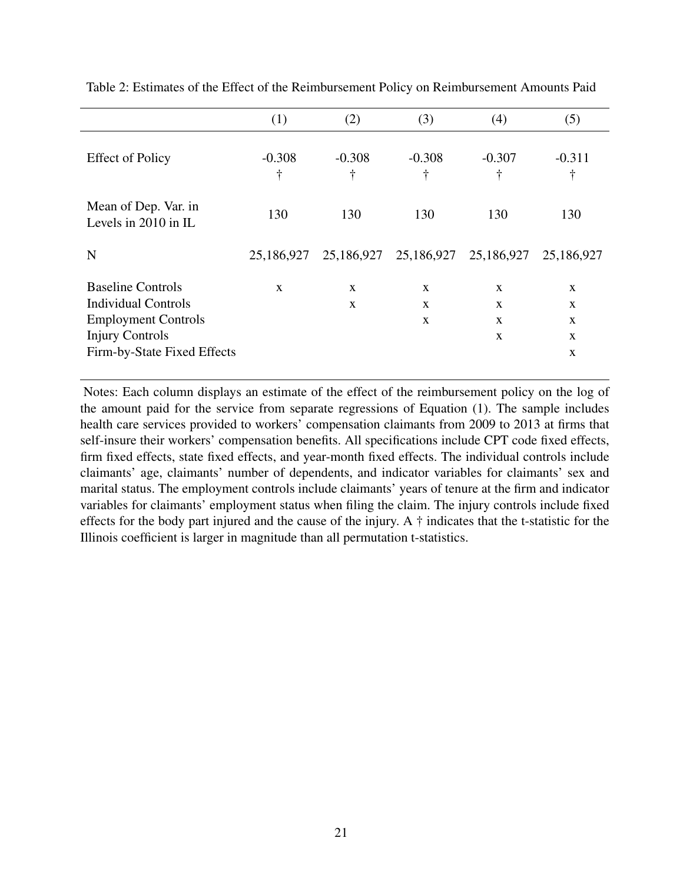|                                                                                                                                               | (1)                   | (2)                    | (3)                              | (4)                                    | (5)                                                    |
|-----------------------------------------------------------------------------------------------------------------------------------------------|-----------------------|------------------------|----------------------------------|----------------------------------------|--------------------------------------------------------|
| <b>Effect of Policy</b>                                                                                                                       | $-0.308$<br>$\dagger$ | $-0.308$<br>$\ddagger$ | $-0.308$<br>÷                    | $-0.307$<br>÷                          | $-0.311$<br>÷                                          |
| Mean of Dep. Var. in<br>Levels in $2010$ in IL                                                                                                | 130                   | 130                    | 130                              | 130                                    | 130                                                    |
| N                                                                                                                                             | 25,186,927            |                        | 25,186,927 25,186,927 25,186,927 |                                        | 25,186,927                                             |
| <b>Baseline Controls</b><br><b>Individual Controls</b><br><b>Employment Controls</b><br><b>Injury Controls</b><br>Firm-by-State Fixed Effects | $\mathbf{x}$          | X<br>X                 | X<br>X<br>$\mathbf{x}$           | X<br>X<br>$\mathbf{x}$<br>$\mathbf{x}$ | X<br>$\mathbf{x}$<br>$\mathbf{X}$<br>$\mathbf{x}$<br>X |

Table 2: Estimates of the Effect of the Reimbursement Policy on Reimbursement Amounts Paid

Notes: Each column displays an estimate of the effect of the reimbursement policy on the log of the amount paid for the service from separate regressions of Equation (1). The sample includes health care services provided to workers' compensation claimants from 2009 to 2013 at firms that self-insure their workers' compensation benefits. All specifications include CPT code fixed effects, firm fixed effects, state fixed effects, and year-month fixed effects. The individual controls include claimants' age, claimants' number of dependents, and indicator variables for claimants' sex and marital status. The employment controls include claimants' years of tenure at the firm and indicator variables for claimants' employment status when filing the claim. The injury controls include fixed effects for the body part injured and the cause of the injury. A † indicates that the t-statistic for the Illinois coefficient is larger in magnitude than all permutation t-statistics.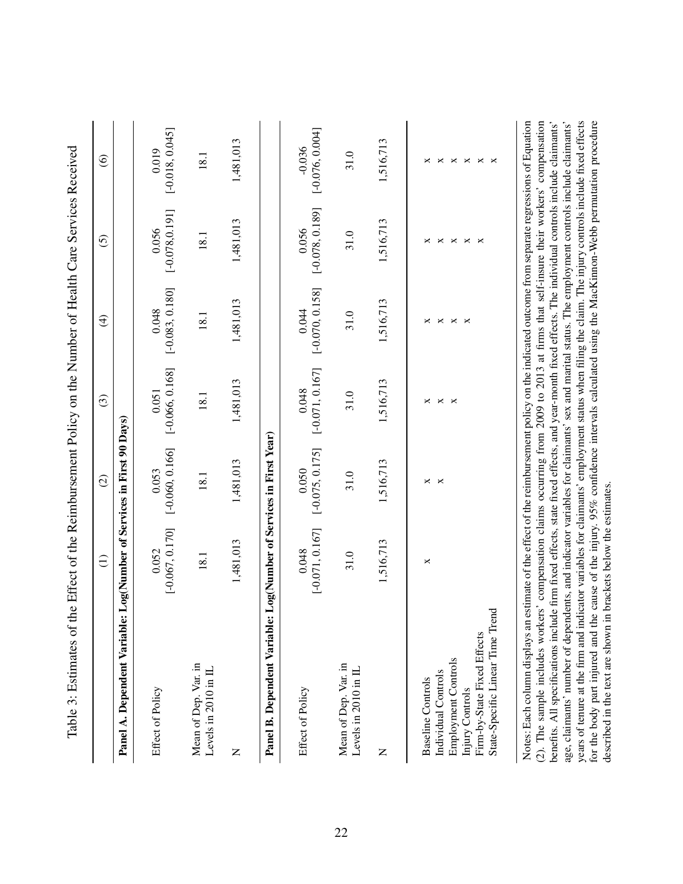|                                                                                                                                                                                                                                                                                                                                                                                                                                                                                                                                                                                                                                                                                                                                                                                                                                                                                                                                                                      | $\widehat{E}$              | $\widehat{c}$              | $\odot$                    | $\bigoplus$                                                | $\widehat{O}$                           | $\circledcirc$                                   |
|----------------------------------------------------------------------------------------------------------------------------------------------------------------------------------------------------------------------------------------------------------------------------------------------------------------------------------------------------------------------------------------------------------------------------------------------------------------------------------------------------------------------------------------------------------------------------------------------------------------------------------------------------------------------------------------------------------------------------------------------------------------------------------------------------------------------------------------------------------------------------------------------------------------------------------------------------------------------|----------------------------|----------------------------|----------------------------|------------------------------------------------------------|-----------------------------------------|--------------------------------------------------|
| Panel A. Dependent Variable: Log(Number of Services in First 90 Days)                                                                                                                                                                                                                                                                                                                                                                                                                                                                                                                                                                                                                                                                                                                                                                                                                                                                                                |                            |                            |                            |                                                            |                                         |                                                  |
| Effect of Policy                                                                                                                                                                                                                                                                                                                                                                                                                                                                                                                                                                                                                                                                                                                                                                                                                                                                                                                                                     | $[-0.067, 0.170]$<br>0.052 | $[-0.060, 0.166]$<br>0.053 | $[-0.066, 0.168]$<br>0.051 | $[-0.083, 0.180]$<br>0.048                                 | $[-0.078, 0.191]$<br>0.056              | $[-0.018, 0.045]$<br>0.019                       |
| Mean of Dep. Var. in<br>Levels in 2010 in IL                                                                                                                                                                                                                                                                                                                                                                                                                                                                                                                                                                                                                                                                                                                                                                                                                                                                                                                         | 18.1                       | 18.1                       | 18.1                       | 18.1                                                       | 18.1                                    | 18.1                                             |
| Z                                                                                                                                                                                                                                                                                                                                                                                                                                                                                                                                                                                                                                                                                                                                                                                                                                                                                                                                                                    | 1,481,013                  | 1,481,013                  | 1,481,013                  | 1,481,013                                                  | 1,481,013                               | 1,481,013                                        |
| Panel B. Dependent Variable: Log(Number of Services in First Year)                                                                                                                                                                                                                                                                                                                                                                                                                                                                                                                                                                                                                                                                                                                                                                                                                                                                                                   |                            |                            |                            |                                                            |                                         |                                                  |
| Effect of Policy                                                                                                                                                                                                                                                                                                                                                                                                                                                                                                                                                                                                                                                                                                                                                                                                                                                                                                                                                     | $[-0.071, 0.167]$<br>0.048 | $[-0.075, 0.175]$<br>0.050 | $[-0.071, 0.167]$<br>0.048 | $[-0.070, 0.158]$<br>0.044                                 | $[-0.078, 0.189]$<br>0.056              | $[-0.076, 0.004]$<br>$-0.036$                    |
| Mean of Dep. Var. in<br>Levels in 2010 in IL                                                                                                                                                                                                                                                                                                                                                                                                                                                                                                                                                                                                                                                                                                                                                                                                                                                                                                                         | 31.0                       | 31.0                       | 31.0                       | 31.0                                                       | 31.0                                    | 31.0                                             |
| Z                                                                                                                                                                                                                                                                                                                                                                                                                                                                                                                                                                                                                                                                                                                                                                                                                                                                                                                                                                    | 1,516,713                  | 1,516,713                  | 1,516,713                  | 1,516,713                                                  | 1,516,713                               | 1,516,713                                        |
| Employment Controls<br>Individual Controls<br><b>Baseline Controls</b><br>Injury Controls                                                                                                                                                                                                                                                                                                                                                                                                                                                                                                                                                                                                                                                                                                                                                                                                                                                                            | ×                          | ×<br>×                     | $\times$ $\times$<br>×     | $\boldsymbol{\times}$<br>×<br>$\Join$<br>$\mathbf{\times}$ | $\mathbf{\times}$<br>×<br>$\times$<br>× | $\boldsymbol{\times}$<br>$\Join$<br>$\Join$<br>× |
| State-Specific Linear Time Trend<br>Firm-by-State Fixed Effects                                                                                                                                                                                                                                                                                                                                                                                                                                                                                                                                                                                                                                                                                                                                                                                                                                                                                                      |                            |                            |                            |                                                            | ×                                       | ×<br>×                                           |
| years of tenure at the firm and indicator variables for claimants' employment status when filing the claim. The injury controls include fixed effects<br>Notes: Each column displays an estimate of the effect of the reimbursement policy on the indicated outcome from separate regressions of Equation<br>for the body part injured and the cause of the injury. 95% confidence intervals calculated using the MacKinnon-Webb permutation procedure<br>age, claimants' number of dependents, and indicator variables for claimants' sex and marital status. The employment controls include claimants'<br>benefits. All specifications include firm fixed effects, state fixed effects, and year-month fixed effects. The individual controls include claimants'<br>(2). The sample includes workers' compensation claims occurring from 2009 to 2013 at firms that self-insure their workers'<br>described in the text are shown in brackets below the estimates |                            |                            |                            |                                                            |                                         | compensation                                     |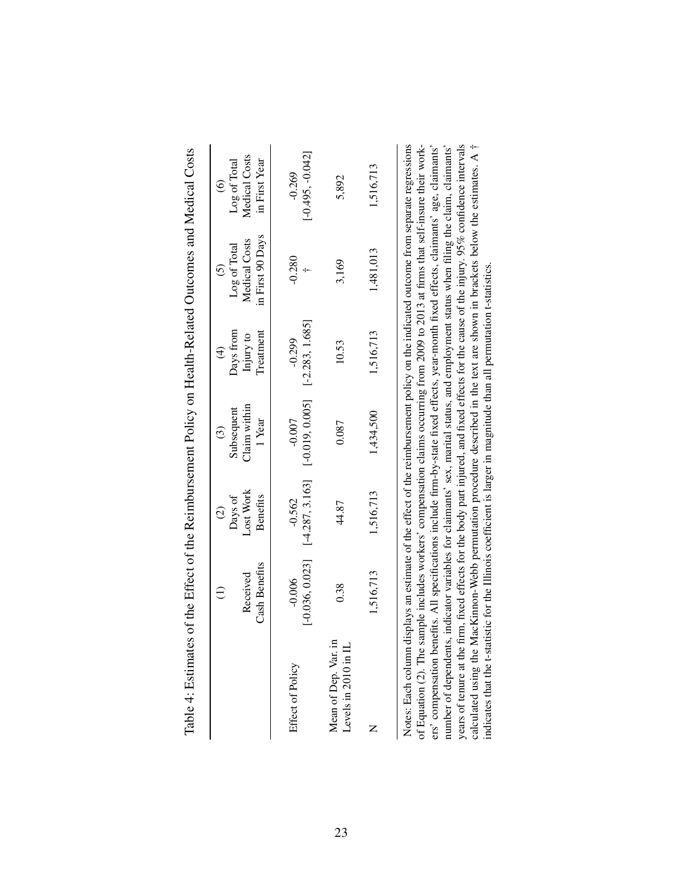| Table 4: Estimates of the Effect of the Reimbursement Policy on Health-Related Outcomes and Medical Costs                                                                                                                                                                                                                       |                               |                               |                               |                                      |                                                                                                                                                                                                                                     |                                   |
|---------------------------------------------------------------------------------------------------------------------------------------------------------------------------------------------------------------------------------------------------------------------------------------------------------------------------------|-------------------------------|-------------------------------|-------------------------------|--------------------------------------|-------------------------------------------------------------------------------------------------------------------------------------------------------------------------------------------------------------------------------------|-----------------------------------|
|                                                                                                                                                                                                                                                                                                                                 |                               | Days of<br>$\widehat{c}$      | Subsequent<br>$\odot$         | Days from<br>$\widehat{\mathcal{A}}$ | Log of Total<br>$\tilde{c}$                                                                                                                                                                                                         | Log of Total<br>$\widehat{\circ}$ |
|                                                                                                                                                                                                                                                                                                                                 | Cash Benefits<br>Received     | Lost Work<br><b>Benefits</b>  | Claim within<br>1 Year        | Treatment<br>Injury to               | in First 90 Days<br>Medical Costs                                                                                                                                                                                                   | Medical Costs<br>in First Year    |
| Effect of Policy                                                                                                                                                                                                                                                                                                                | $[-0.036, 0.023]$<br>$-0.006$ | $[-4.287, 3.163]$<br>$-0.562$ | $[-0.019, 0.005]$<br>$-0.007$ | $[-2.283, 1.685]$<br>$-0.299$        | $-0.280$                                                                                                                                                                                                                            | $[-0.495, -0.042]$<br>$-0.269$    |
| Mean of Dep. Var. in<br>Levels in 2010 in I                                                                                                                                                                                                                                                                                     | 0.38                          | 44.87                         | 0.087                         | 10.53                                | 3,169                                                                                                                                                                                                                               | 5,892                             |
|                                                                                                                                                                                                                                                                                                                                 | 1,516,713                     | 1,516,713                     | 1,434,500                     | 1,516,713                            | 1,481,013                                                                                                                                                                                                                           | 1,516,713                         |
| ers' compensation benefits. All specifications include firm-by-state fixed effects, year-month fixed effects, claimants' age, claimants'<br>number of dependents, indicator variables for claimants' sex, marital status, and employment status when filing the claim, claimants'<br>Notes: Each column<br>of Equation (2). The |                               |                               |                               |                                      | displays an estimate of the effect of the reimbursement policy on the indicated outcome from separate regressions<br>sample includes workers' compensation claims occurring from 2009 to 2013 at firms that self-insure their work- |                                   |

years of tenure at the firm, fixed effects for the body part injured, and fixed effects for the cause of the injury. 95% confidence intervals calculated using the MacKimon-Webb permutation procedure described in the text a calculated using the MacKinnon-Webb permutation procedure described in the text are shown in brackets below the estimates. A † years of tenure at the firm, fixed effects for the body part injured, and fixed effects for the cause of the injury. 95% confidence intervals

indicates that the t-statistic for the Illinois coefficient is larger in magnitude than all permutation t-statistics.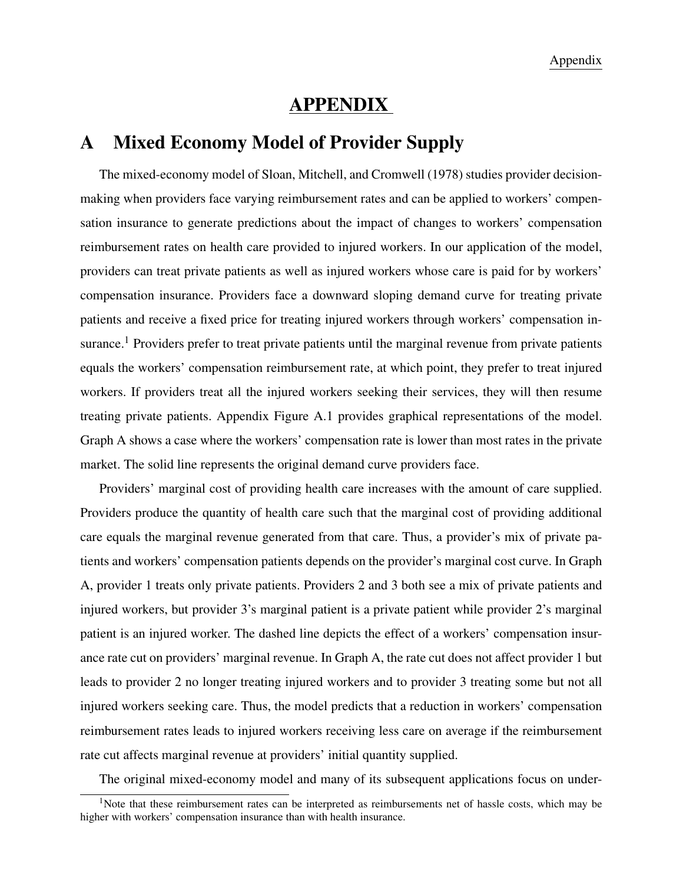## APPENDIX

# A Mixed Economy Model of Provider Supply

The mixed-economy model of Sloan, Mitchell, and Cromwell (1978) studies provider decisionmaking when providers face varying reimbursement rates and can be applied to workers' compensation insurance to generate predictions about the impact of changes to workers' compensation reimbursement rates on health care provided to injured workers. In our application of the model, providers can treat private patients as well as injured workers whose care is paid for by workers' compensation insurance. Providers face a downward sloping demand curve for treating private patients and receive a fixed price for treating injured workers through workers' compensation insurance.<sup>1</sup> Providers prefer to treat private patients until the marginal revenue from private patients equals the workers' compensation reimbursement rate, at which point, they prefer to treat injured workers. If providers treat all the injured workers seeking their services, they will then resume treating private patients. Appendix Figure A.1 provides graphical representations of the model. Graph A shows a case where the workers' compensation rate is lower than most rates in the private market. The solid line represents the original demand curve providers face.

Providers' marginal cost of providing health care increases with the amount of care supplied. Providers produce the quantity of health care such that the marginal cost of providing additional care equals the marginal revenue generated from that care. Thus, a provider's mix of private patients and workers' compensation patients depends on the provider's marginal cost curve. In Graph A, provider 1 treats only private patients. Providers 2 and 3 both see a mix of private patients and injured workers, but provider 3's marginal patient is a private patient while provider 2's marginal patient is an injured worker. The dashed line depicts the effect of a workers' compensation insurance rate cut on providers' marginal revenue. In Graph A, the rate cut does not affect provider 1 but leads to provider 2 no longer treating injured workers and to provider 3 treating some but not all injured workers seeking care. Thus, the model predicts that a reduction in workers' compensation reimbursement rates leads to injured workers receiving less care on average if the reimbursement rate cut affects marginal revenue at providers' initial quantity supplied.

The original mixed-economy model and many of its subsequent applications focus on under-

<sup>&</sup>lt;sup>1</sup>Note that these reimbursement rates can be interpreted as reimbursements net of hassle costs, which may be higher with workers' compensation insurance than with health insurance.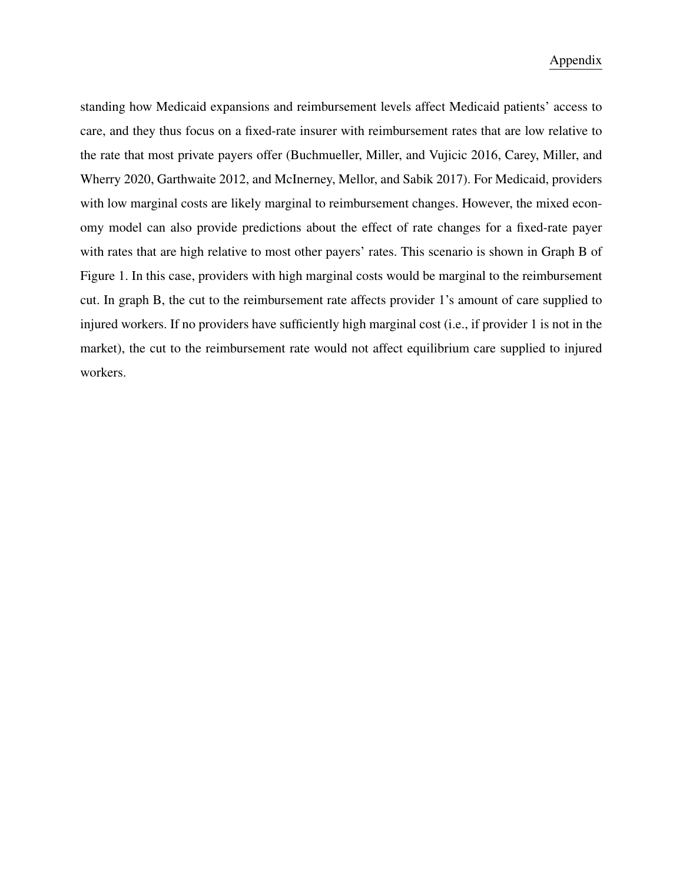### Appendix

standing how Medicaid expansions and reimbursement levels affect Medicaid patients' access to care, and they thus focus on a fixed-rate insurer with reimbursement rates that are low relative to the rate that most private payers offer (Buchmueller, Miller, and Vujicic 2016, Carey, Miller, and Wherry 2020, Garthwaite 2012, and McInerney, Mellor, and Sabik 2017). For Medicaid, providers with low marginal costs are likely marginal to reimbursement changes. However, the mixed economy model can also provide predictions about the effect of rate changes for a fixed-rate payer with rates that are high relative to most other payers' rates. This scenario is shown in Graph B of Figure 1. In this case, providers with high marginal costs would be marginal to the reimbursement cut. In graph B, the cut to the reimbursement rate affects provider 1's amount of care supplied to injured workers. If no providers have sufficiently high marginal cost (i.e., if provider 1 is not in the market), the cut to the reimbursement rate would not affect equilibrium care supplied to injured workers.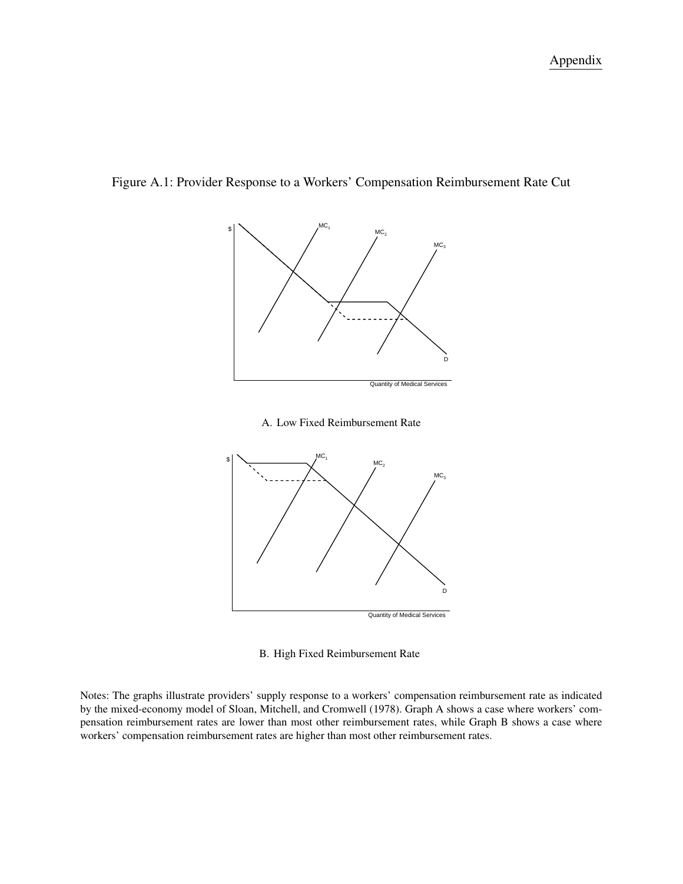



A. Low Fixed Reimbursement Rate



B. High Fixed Reimbursement Rate

Notes: The graphs illustrate providers' supply response to a workers' compensation reimbursement rate as indicated by the mixed-economy model of Sloan, Mitchell, and Cromwell (1978). Graph A shows a case where workers' compensation reimbursement rates are lower than most other reimbursement rates, while Graph B shows a case where workers' compensation reimbursement rates are higher than most other reimbursement rates.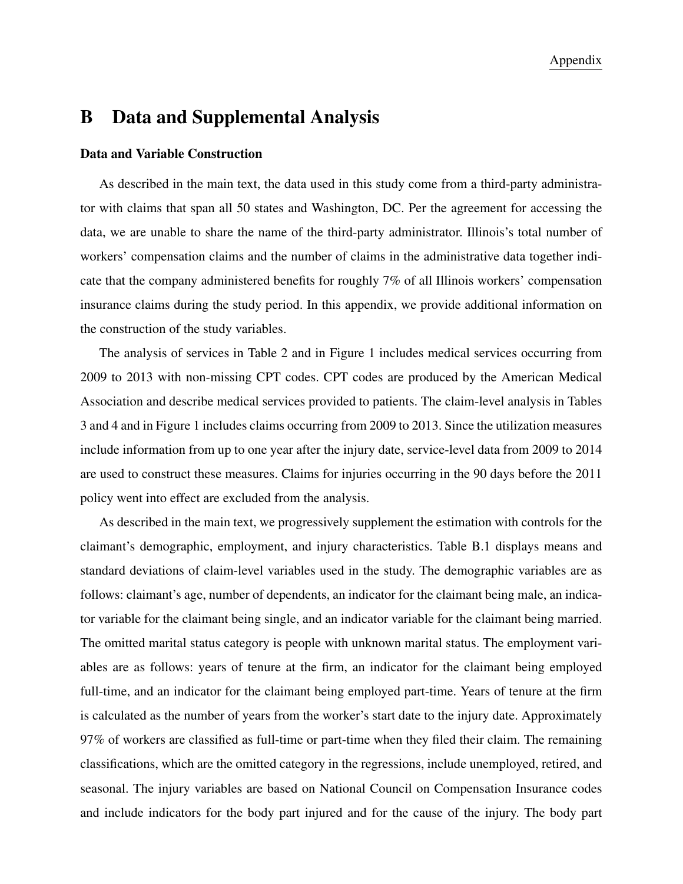## B Data and Supplemental Analysis

### Data and Variable Construction

As described in the main text, the data used in this study come from a third-party administrator with claims that span all 50 states and Washington, DC. Per the agreement for accessing the data, we are unable to share the name of the third-party administrator. Illinois's total number of workers' compensation claims and the number of claims in the administrative data together indicate that the company administered benefits for roughly 7% of all Illinois workers' compensation insurance claims during the study period. In this appendix, we provide additional information on the construction of the study variables.

The analysis of services in Table 2 and in Figure 1 includes medical services occurring from 2009 to 2013 with non-missing CPT codes. CPT codes are produced by the American Medical Association and describe medical services provided to patients. The claim-level analysis in Tables 3 and 4 and in Figure 1 includes claims occurring from 2009 to 2013. Since the utilization measures include information from up to one year after the injury date, service-level data from 2009 to 2014 are used to construct these measures. Claims for injuries occurring in the 90 days before the 2011 policy went into effect are excluded from the analysis.

As described in the main text, we progressively supplement the estimation with controls for the claimant's demographic, employment, and injury characteristics. Table B.1 displays means and standard deviations of claim-level variables used in the study. The demographic variables are as follows: claimant's age, number of dependents, an indicator for the claimant being male, an indicator variable for the claimant being single, and an indicator variable for the claimant being married. The omitted marital status category is people with unknown marital status. The employment variables are as follows: years of tenure at the firm, an indicator for the claimant being employed full-time, and an indicator for the claimant being employed part-time. Years of tenure at the firm is calculated as the number of years from the worker's start date to the injury date. Approximately 97% of workers are classified as full-time or part-time when they filed their claim. The remaining classifications, which are the omitted category in the regressions, include unemployed, retired, and seasonal. The injury variables are based on National Council on Compensation Insurance codes and include indicators for the body part injured and for the cause of the injury. The body part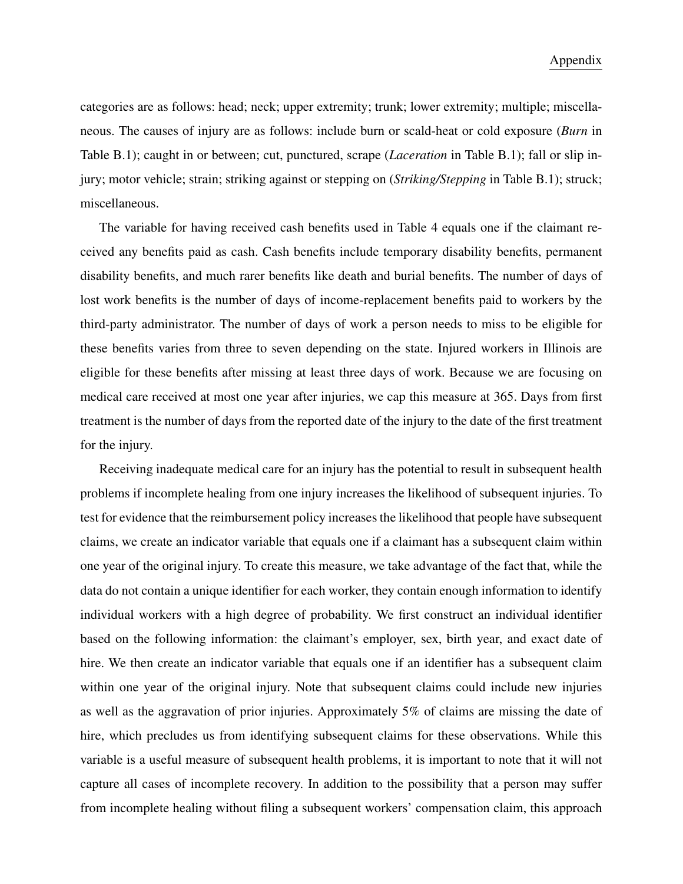categories are as follows: head; neck; upper extremity; trunk; lower extremity; multiple; miscellaneous. The causes of injury are as follows: include burn or scald-heat or cold exposure (*Burn* in Table B.1); caught in or between; cut, punctured, scrape (*Laceration* in Table B.1); fall or slip injury; motor vehicle; strain; striking against or stepping on (*Striking/Stepping* in Table B.1); struck; miscellaneous.

The variable for having received cash benefits used in Table 4 equals one if the claimant received any benefits paid as cash. Cash benefits include temporary disability benefits, permanent disability benefits, and much rarer benefits like death and burial benefits. The number of days of lost work benefits is the number of days of income-replacement benefits paid to workers by the third-party administrator. The number of days of work a person needs to miss to be eligible for these benefits varies from three to seven depending on the state. Injured workers in Illinois are eligible for these benefits after missing at least three days of work. Because we are focusing on medical care received at most one year after injuries, we cap this measure at 365. Days from first treatment is the number of days from the reported date of the injury to the date of the first treatment for the injury.

Receiving inadequate medical care for an injury has the potential to result in subsequent health problems if incomplete healing from one injury increases the likelihood of subsequent injuries. To test for evidence that the reimbursement policy increases the likelihood that people have subsequent claims, we create an indicator variable that equals one if a claimant has a subsequent claim within one year of the original injury. To create this measure, we take advantage of the fact that, while the data do not contain a unique identifier for each worker, they contain enough information to identify individual workers with a high degree of probability. We first construct an individual identifier based on the following information: the claimant's employer, sex, birth year, and exact date of hire. We then create an indicator variable that equals one if an identifier has a subsequent claim within one year of the original injury. Note that subsequent claims could include new injuries as well as the aggravation of prior injuries. Approximately 5% of claims are missing the date of hire, which precludes us from identifying subsequent claims for these observations. While this variable is a useful measure of subsequent health problems, it is important to note that it will not capture all cases of incomplete recovery. In addition to the possibility that a person may suffer from incomplete healing without filing a subsequent workers' compensation claim, this approach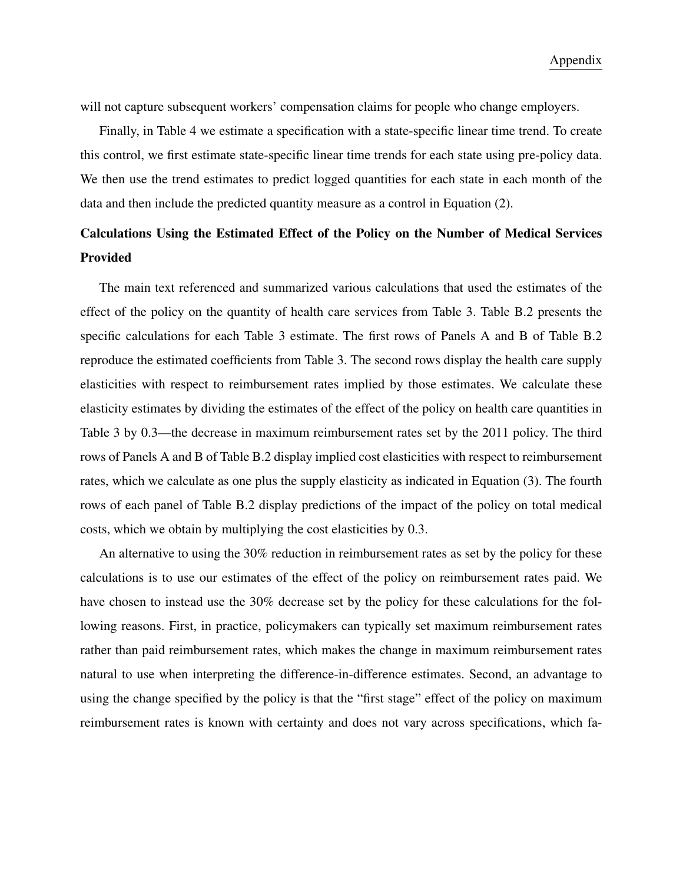will not capture subsequent workers' compensation claims for people who change employers.

Finally, in Table 4 we estimate a specification with a state-specific linear time trend. To create this control, we first estimate state-specific linear time trends for each state using pre-policy data. We then use the trend estimates to predict logged quantities for each state in each month of the data and then include the predicted quantity measure as a control in Equation (2).

# Calculations Using the Estimated Effect of the Policy on the Number of Medical Services Provided

The main text referenced and summarized various calculations that used the estimates of the effect of the policy on the quantity of health care services from Table 3. Table B.2 presents the specific calculations for each Table 3 estimate. The first rows of Panels A and B of Table B.2 reproduce the estimated coefficients from Table 3. The second rows display the health care supply elasticities with respect to reimbursement rates implied by those estimates. We calculate these elasticity estimates by dividing the estimates of the effect of the policy on health care quantities in Table 3 by 0.3—the decrease in maximum reimbursement rates set by the 2011 policy. The third rows of Panels A and B of Table B.2 display implied cost elasticities with respect to reimbursement rates, which we calculate as one plus the supply elasticity as indicated in Equation (3). The fourth rows of each panel of Table B.2 display predictions of the impact of the policy on total medical costs, which we obtain by multiplying the cost elasticities by 0.3.

An alternative to using the 30% reduction in reimbursement rates as set by the policy for these calculations is to use our estimates of the effect of the policy on reimbursement rates paid. We have chosen to instead use the 30% decrease set by the policy for these calculations for the following reasons. First, in practice, policymakers can typically set maximum reimbursement rates rather than paid reimbursement rates, which makes the change in maximum reimbursement rates natural to use when interpreting the difference-in-difference estimates. Second, an advantage to using the change specified by the policy is that the "first stage" effect of the policy on maximum reimbursement rates is known with certainty and does not vary across specifications, which fa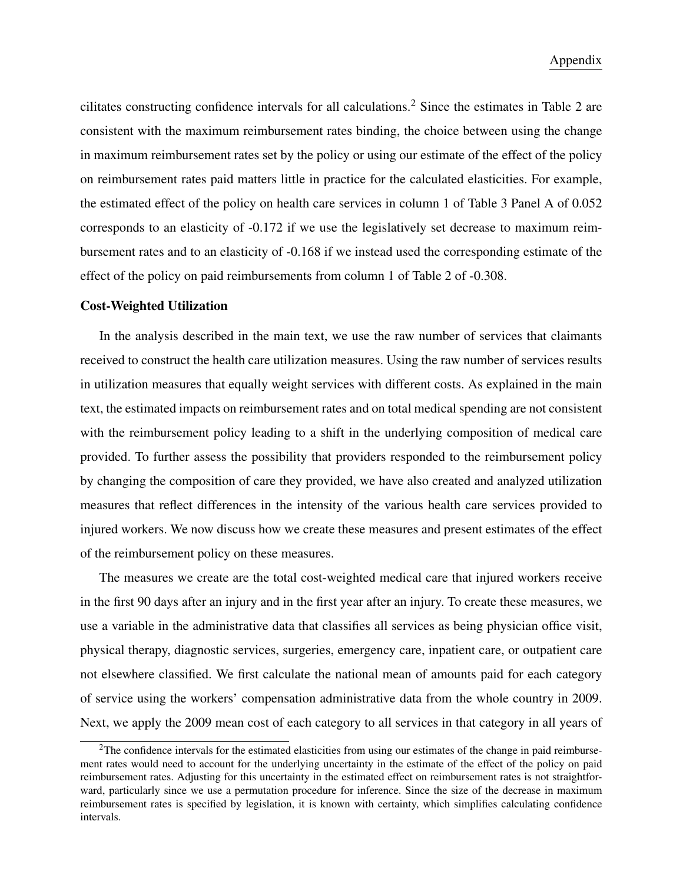cilitates constructing confidence intervals for all calculations.<sup>2</sup> Since the estimates in Table 2 are consistent with the maximum reimbursement rates binding, the choice between using the change in maximum reimbursement rates set by the policy or using our estimate of the effect of the policy on reimbursement rates paid matters little in practice for the calculated elasticities. For example, the estimated effect of the policy on health care services in column 1 of Table 3 Panel A of 0.052 corresponds to an elasticity of -0.172 if we use the legislatively set decrease to maximum reimbursement rates and to an elasticity of -0.168 if we instead used the corresponding estimate of the effect of the policy on paid reimbursements from column 1 of Table 2 of -0.308.

#### Cost-Weighted Utilization

In the analysis described in the main text, we use the raw number of services that claimants received to construct the health care utilization measures. Using the raw number of services results in utilization measures that equally weight services with different costs. As explained in the main text, the estimated impacts on reimbursement rates and on total medical spending are not consistent with the reimbursement policy leading to a shift in the underlying composition of medical care provided. To further assess the possibility that providers responded to the reimbursement policy by changing the composition of care they provided, we have also created and analyzed utilization measures that reflect differences in the intensity of the various health care services provided to injured workers. We now discuss how we create these measures and present estimates of the effect of the reimbursement policy on these measures.

The measures we create are the total cost-weighted medical care that injured workers receive in the first 90 days after an injury and in the first year after an injury. To create these measures, we use a variable in the administrative data that classifies all services as being physician office visit, physical therapy, diagnostic services, surgeries, emergency care, inpatient care, or outpatient care not elsewhere classified. We first calculate the national mean of amounts paid for each category of service using the workers' compensation administrative data from the whole country in 2009. Next, we apply the 2009 mean cost of each category to all services in that category in all years of

<sup>&</sup>lt;sup>2</sup>The confidence intervals for the estimated elasticities from using our estimates of the change in paid reimbursement rates would need to account for the underlying uncertainty in the estimate of the effect of the policy on paid reimbursement rates. Adjusting for this uncertainty in the estimated effect on reimbursement rates is not straightforward, particularly since we use a permutation procedure for inference. Since the size of the decrease in maximum reimbursement rates is specified by legislation, it is known with certainty, which simplifies calculating confidence intervals.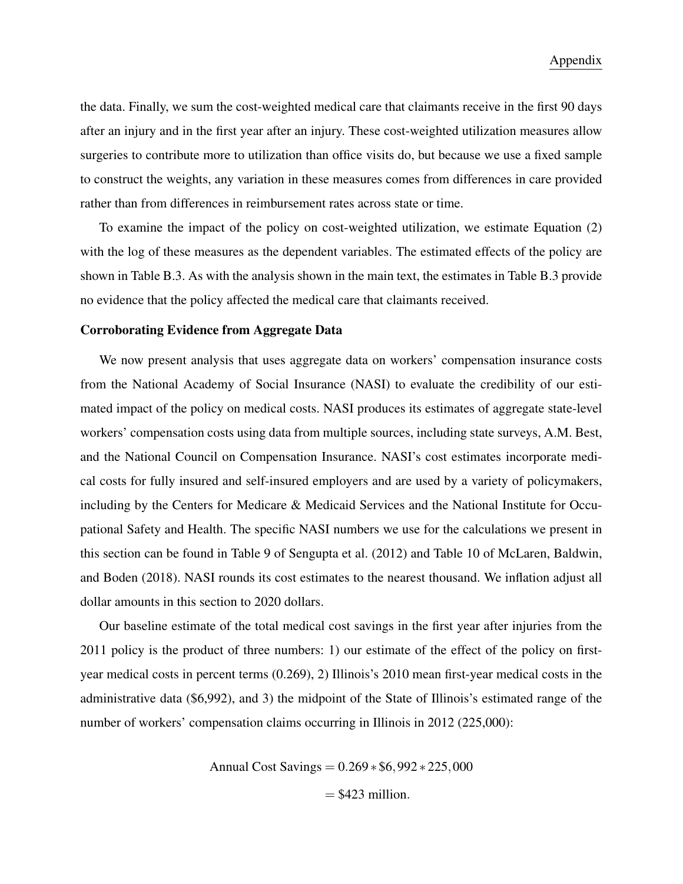the data. Finally, we sum the cost-weighted medical care that claimants receive in the first 90 days after an injury and in the first year after an injury. These cost-weighted utilization measures allow surgeries to contribute more to utilization than office visits do, but because we use a fixed sample to construct the weights, any variation in these measures comes from differences in care provided rather than from differences in reimbursement rates across state or time.

To examine the impact of the policy on cost-weighted utilization, we estimate Equation (2) with the log of these measures as the dependent variables. The estimated effects of the policy are shown in Table B.3. As with the analysis shown in the main text, the estimates in Table B.3 provide no evidence that the policy affected the medical care that claimants received.

#### Corroborating Evidence from Aggregate Data

We now present analysis that uses aggregate data on workers' compensation insurance costs from the National Academy of Social Insurance (NASI) to evaluate the credibility of our estimated impact of the policy on medical costs. NASI produces its estimates of aggregate state-level workers' compensation costs using data from multiple sources, including state surveys, A.M. Best, and the National Council on Compensation Insurance. NASI's cost estimates incorporate medical costs for fully insured and self-insured employers and are used by a variety of policymakers, including by the Centers for Medicare & Medicaid Services and the National Institute for Occupational Safety and Health. The specific NASI numbers we use for the calculations we present in this section can be found in Table 9 of Sengupta et al. (2012) and Table 10 of McLaren, Baldwin, and Boden (2018). NASI rounds its cost estimates to the nearest thousand. We inflation adjust all dollar amounts in this section to 2020 dollars.

Our baseline estimate of the total medical cost savings in the first year after injuries from the 2011 policy is the product of three numbers: 1) our estimate of the effect of the policy on firstyear medical costs in percent terms (0.269), 2) Illinois's 2010 mean first-year medical costs in the administrative data (\$6,992), and 3) the midpoint of the State of Illinois's estimated range of the number of workers' compensation claims occurring in Illinois in 2012 (225,000):

> Annual Cost Savings = 0.269 ∗ \$6,992 ∗ 225,000  $=$  \$423 million.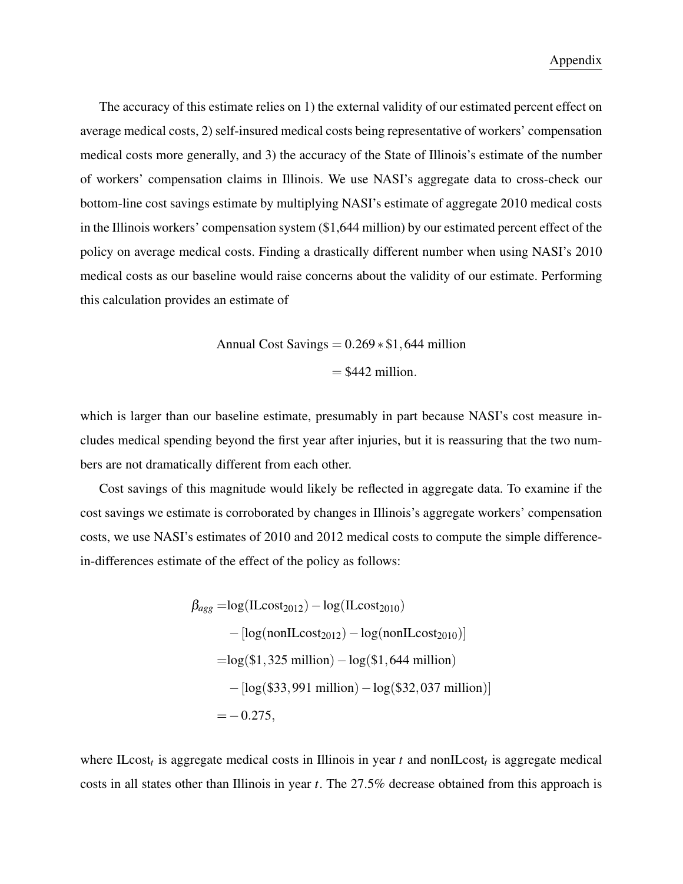The accuracy of this estimate relies on 1) the external validity of our estimated percent effect on average medical costs, 2) self-insured medical costs being representative of workers' compensation medical costs more generally, and 3) the accuracy of the State of Illinois's estimate of the number of workers' compensation claims in Illinois. We use NASI's aggregate data to cross-check our bottom-line cost savings estimate by multiplying NASI's estimate of aggregate 2010 medical costs in the Illinois workers' compensation system (\$1,644 million) by our estimated percent effect of the policy on average medical costs. Finding a drastically different number when using NASI's 2010 medical costs as our baseline would raise concerns about the validity of our estimate. Performing this calculation provides an estimate of

Annual Cost Savings = 
$$
0.269 * $1,644
$$
 million  
= \$442 million.

which is larger than our baseline estimate, presumably in part because NASI's cost measure includes medical spending beyond the first year after injuries, but it is reassuring that the two numbers are not dramatically different from each other.

Cost savings of this magnitude would likely be reflected in aggregate data. To examine if the cost savings we estimate is corroborated by changes in Illinois's aggregate workers' compensation costs, we use NASI's estimates of 2010 and 2012 medical costs to compute the simple differencein-differences estimate of the effect of the policy as follows:

$$
\beta_{agg} = log(ILcost_{2012}) - log(ILcost_{2010})
$$
  
- [log(nonILcost\_{2012}) - log(nonILcost\_{2010})]  
=log(\$1,325 million) - log(\$1,644 million)  
- [log(\$33,991 million) - log(\$32,037 million)]  
= -0.275,

where ILcost<sub>t</sub> is aggregate medical costs in Illinois in year  $t$  and nonILcost<sub>t</sub> is aggregate medical costs in all states other than Illinois in year *t*. The 27.5% decrease obtained from this approach is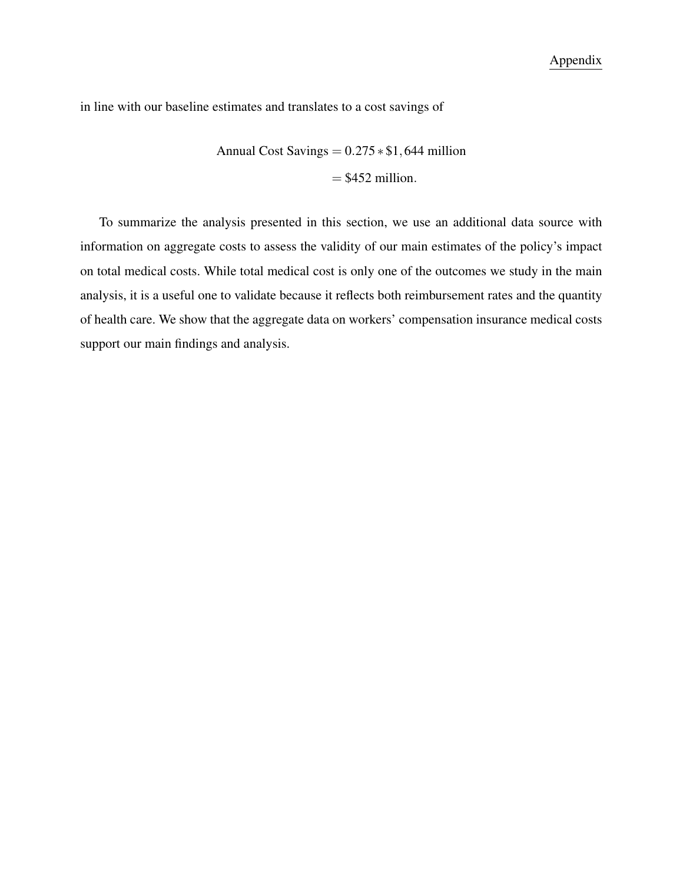in line with our baseline estimates and translates to a cost savings of

Annual Cost Savings =  $0.275 * $1,644$  million  $=$  \$452 million.

To summarize the analysis presented in this section, we use an additional data source with information on aggregate costs to assess the validity of our main estimates of the policy's impact on total medical costs. While total medical cost is only one of the outcomes we study in the main analysis, it is a useful one to validate because it reflects both reimbursement rates and the quantity of health care. We show that the aggregate data on workers' compensation insurance medical costs support our main findings and analysis.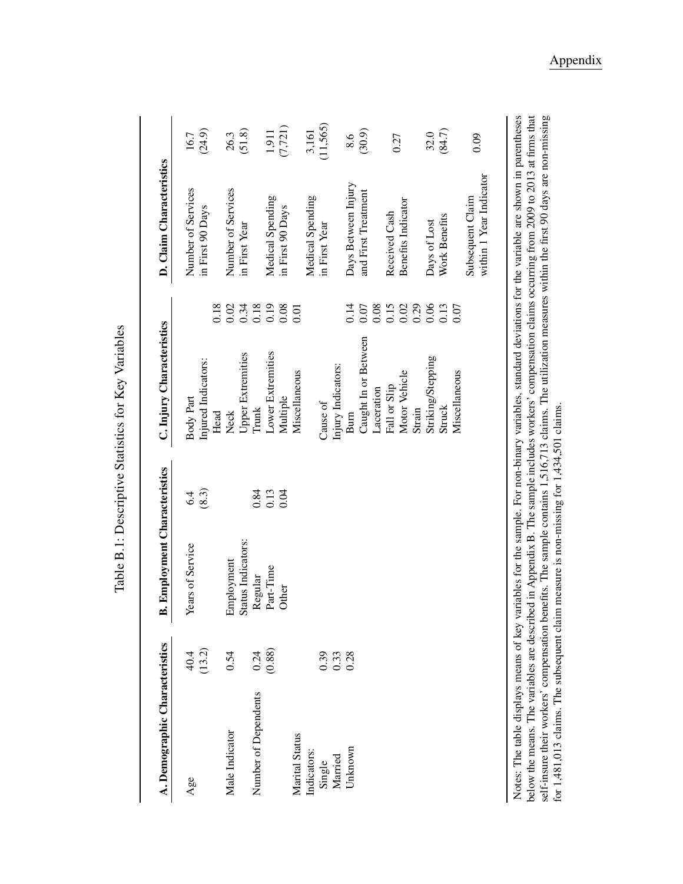| A. Demographic Characteristics |                     | <b>B. Employment Characteristics</b> |       | C. Injury Characteristics |                                                     | D. Claim Characteristics                    |          |
|--------------------------------|---------------------|--------------------------------------|-------|---------------------------|-----------------------------------------------------|---------------------------------------------|----------|
| Age                            | 40.4                | Years of Service                     | 6.4   | Body Part                 |                                                     | Number of Services                          | 16.7     |
|                                | (13.2)              |                                      | (8.3) | Injured Indicators:       |                                                     | in First 90 Days                            | (24.9)   |
|                                |                     |                                      |       | Head                      | 0.18                                                |                                             |          |
| Male Indicator                 | 0.54                | Employment                           |       | Neck                      | 0.02                                                | Number of Services                          | 26.3     |
|                                |                     | Status Indicators:                   |       | <b>Upper Extremities</b>  | 0.34                                                | in First Year                               | (51.8)   |
| Number of Dependents           | $\frac{0.24}{0.88}$ | Regular                              | 0.84  | Trunk                     | 0.18                                                |                                             |          |
|                                |                     | Part-Time                            | 0.13  | Lower Extremities         | $\begin{array}{c} 0.19 \\ 0.08 \\ 0.01 \end{array}$ | Medical Spending                            | 1,911    |
|                                |                     | Other                                | 0.04  | Multiple                  |                                                     | in First 90 Days                            | (7, 721) |
| Marital Status                 |                     |                                      |       | Miscellaneous             |                                                     |                                             |          |
| Indicators:                    |                     |                                      |       |                           |                                                     | Medical Spending                            | 3,161    |
| Single<br>Married              |                     |                                      |       | Cause of                  |                                                     | in First Year                               | (11,565) |
|                                | $0.33$<br>$0.38$    |                                      |       | Injury Indicators:        |                                                     |                                             |          |
| Unknown                        |                     |                                      |       | Bum                       | 0.14                                                | Days Between Injury                         | 8.6      |
|                                |                     |                                      |       | Caught In or Between      | $0.07\,$                                            | and First Treatment                         | (30.9)   |
|                                |                     |                                      |       | Laceration                | 0.08                                                |                                             |          |
|                                |                     |                                      |       | Fall or Slip              | $0.15$<br>$0.02$                                    | Received Cash                               | 0.27     |
|                                |                     |                                      |       | Motor Vehicle             |                                                     | Benefits Indicator                          |          |
|                                |                     |                                      |       | Strain                    | 0.29                                                |                                             |          |
|                                |                     |                                      |       | Striking/Stepping         | $\begin{array}{c} 0.06 \\ 0.13 \\ 0.07 \end{array}$ | Days of Lost                                | 32.0     |
|                                |                     |                                      |       | <b>Struck</b>             |                                                     | Work Benefits                               | (84.7)   |
|                                |                     |                                      |       | Miscellaneous             |                                                     |                                             |          |
|                                |                     |                                      |       |                           |                                                     | within 1 Year Indicator<br>Subsequent Claim | 0.09     |
|                                |                     |                                      |       |                           |                                                     |                                             |          |

Table B.1: Descriptive Statistics for Key Variables Table B.1: Descriptive Statistics for Key Variables

self-insure their workers' compensation benefits. The sample contains 1,516,713 claims. The utilization measures within the first 90 days are non-missing for 1,481,013 claims. The subsequent claim measure is non-missing fo below the means. The variables are described in Appendix B. The sample includes workers' compensation claims occurring from 2009 to 2013 at firms that Notes: The table displays means of key variables for the sample. For non-binary variables, standard deviations for the variable are shown in parentheses Notes: The table displays means of key variables for the sample. For non-binary variables, standard deviations for the variable are shown in parentheses below the means. The variables are described in Appendix B. The sample includes workers' compensation claims occurring from 2009 to 2013 at firms that self-insure their workers' compensation benefits. The sample contains 1,516,713 claims. The utilization measures within the first 90 days are non-missing for 1,481,013 claims. The subsequent claim measure is non-missing for 1,434,501 claims.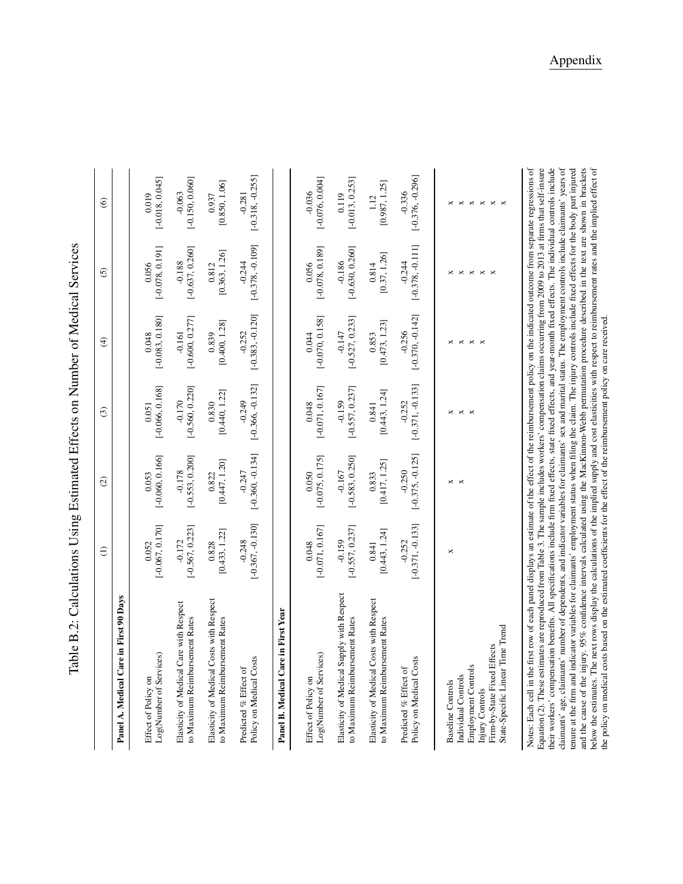|                                                                                                                                                                                                                                                                                                                                                                                                                                                                                                                                                                                                                                                                                                                                                                                                                                                                                                                                                                                                                                                                                                                                                                                                                                                                                                                                               | $\widehat{\Xi}$    | $\odot$            | $\odot$                | $\bigoplus$                                 | 6                                                                | $\odot$                                                 |
|-----------------------------------------------------------------------------------------------------------------------------------------------------------------------------------------------------------------------------------------------------------------------------------------------------------------------------------------------------------------------------------------------------------------------------------------------------------------------------------------------------------------------------------------------------------------------------------------------------------------------------------------------------------------------------------------------------------------------------------------------------------------------------------------------------------------------------------------------------------------------------------------------------------------------------------------------------------------------------------------------------------------------------------------------------------------------------------------------------------------------------------------------------------------------------------------------------------------------------------------------------------------------------------------------------------------------------------------------|--------------------|--------------------|------------------------|---------------------------------------------|------------------------------------------------------------------|---------------------------------------------------------|
| Panel A. Medical Care in First 90 Days                                                                                                                                                                                                                                                                                                                                                                                                                                                                                                                                                                                                                                                                                                                                                                                                                                                                                                                                                                                                                                                                                                                                                                                                                                                                                                        |                    |                    |                        |                                             |                                                                  |                                                         |
| Log(Number of Services)                                                                                                                                                                                                                                                                                                                                                                                                                                                                                                                                                                                                                                                                                                                                                                                                                                                                                                                                                                                                                                                                                                                                                                                                                                                                                                                       | $[-0.067, 0.170]$  | $[-0.060, 0.166]$  | $[-0.066, 0.168]$      | $[-0.083, 0.180]$                           | $[-0.078, 0.191]$                                                | $[-0.018, 0.045]$                                       |
| Effect of Policy on                                                                                                                                                                                                                                                                                                                                                                                                                                                                                                                                                                                                                                                                                                                                                                                                                                                                                                                                                                                                                                                                                                                                                                                                                                                                                                                           | 0.052              | 0.053              | 0.051                  | 0.048                                       | 0.056                                                            | 0.019                                                   |
| Elasticity of Medical Care with Respect                                                                                                                                                                                                                                                                                                                                                                                                                                                                                                                                                                                                                                                                                                                                                                                                                                                                                                                                                                                                                                                                                                                                                                                                                                                                                                       | $[-0.567, 0.223]$  | $[-0.553, 0.200]$  | $[-0.560, 0.220]$      | $[-0.600, 0.277]$                           | $[-0.637, 0.260]$                                                | $[-0.150, 0.060]$                                       |
| to Maximum Reimbursement Rates                                                                                                                                                                                                                                                                                                                                                                                                                                                                                                                                                                                                                                                                                                                                                                                                                                                                                                                                                                                                                                                                                                                                                                                                                                                                                                                | $-0.172$           | $-0.178$           | $-0.170$               | $-0.161$                                    | $-0.188$                                                         | $-0.063$                                                |
| Elasticity of Medical Costs with Respect                                                                                                                                                                                                                                                                                                                                                                                                                                                                                                                                                                                                                                                                                                                                                                                                                                                                                                                                                                                                                                                                                                                                                                                                                                                                                                      | [0.433, 1.22]      | [0.447, 1.20]      | [0.440, 1.22]          | [0.400, 1.28]                               | [0.363, 1.26]                                                    | [0.850, 1.06]                                           |
| to Maximum Reimbursement Rates                                                                                                                                                                                                                                                                                                                                                                                                                                                                                                                                                                                                                                                                                                                                                                                                                                                                                                                                                                                                                                                                                                                                                                                                                                                                                                                | 0.828              | 0.822              | 0.830                  | 0.839                                       | 0.812                                                            | 0.937                                                   |
| Policy on Medical Costs                                                                                                                                                                                                                                                                                                                                                                                                                                                                                                                                                                                                                                                                                                                                                                                                                                                                                                                                                                                                                                                                                                                                                                                                                                                                                                                       | $[-0.367, -0.130]$ | $[-0.360, -0.134]$ | $[-0.366, -0.132]$     | $[-0.383, -0.120]$                          | $[-0.378, -0.109]$                                               | $[-0.318, -0.255]$                                      |
| Predicted % Effect of                                                                                                                                                                                                                                                                                                                                                                                                                                                                                                                                                                                                                                                                                                                                                                                                                                                                                                                                                                                                                                                                                                                                                                                                                                                                                                                         | $-0.248$           | $-0.247$           | $-0.249$               | $-0.252$                                    | $-0.244$                                                         | $-0.281$                                                |
| Panel B. Medical Care in First Year                                                                                                                                                                                                                                                                                                                                                                                                                                                                                                                                                                                                                                                                                                                                                                                                                                                                                                                                                                                                                                                                                                                                                                                                                                                                                                           |                    |                    |                        |                                             |                                                                  |                                                         |
| Log(Number of Services)                                                                                                                                                                                                                                                                                                                                                                                                                                                                                                                                                                                                                                                                                                                                                                                                                                                                                                                                                                                                                                                                                                                                                                                                                                                                                                                       | $[-0.071, 0.167]$  | $[-0.075, 0.175]$  | $[-0.071, 0.167]$      | $[-0.070, 0.158]$                           | $[-0.078, 0.189]$                                                | $[-0.076, 0.004]$                                       |
| Effect of Policy on                                                                                                                                                                                                                                                                                                                                                                                                                                                                                                                                                                                                                                                                                                                                                                                                                                                                                                                                                                                                                                                                                                                                                                                                                                                                                                                           | 0.048              | 0.050              | 0.048                  | 0.044                                       | 0.056                                                            | $-0.036$                                                |
| Elasticity of Medical Supply with Respect                                                                                                                                                                                                                                                                                                                                                                                                                                                                                                                                                                                                                                                                                                                                                                                                                                                                                                                                                                                                                                                                                                                                                                                                                                                                                                     | $[-0.557, 0.237]$  | $[-0.583, 0.250]$  | $[-0.557, 0.237]$      | $[-0.527, 0.233]$                           | $[-0.630, 0.260]$                                                | $[-0.013, 0.253]$                                       |
| to Maximum Reimbursement Rates                                                                                                                                                                                                                                                                                                                                                                                                                                                                                                                                                                                                                                                                                                                                                                                                                                                                                                                                                                                                                                                                                                                                                                                                                                                                                                                | $-0.159$           | $-0.167$           | $-0.159$               | $-0.147$                                    | $-0.186$                                                         | 0.119                                                   |
| Elasticity of Medical Costs with Respect                                                                                                                                                                                                                                                                                                                                                                                                                                                                                                                                                                                                                                                                                                                                                                                                                                                                                                                                                                                                                                                                                                                                                                                                                                                                                                      | [0.443, 1.24]      | [0.417, 1.25]      | [0.443, 1.24]          | [0.473, 1.23]                               | [0.37, 1.26]                                                     | [0.987, 1.25]                                           |
| to Maximum Reimbursement Rates                                                                                                                                                                                                                                                                                                                                                                                                                                                                                                                                                                                                                                                                                                                                                                                                                                                                                                                                                                                                                                                                                                                                                                                                                                                                                                                | 0.841              | 0.833              | 0.841                  | 0.853                                       | 0.814                                                            | 1.12                                                    |
| Policy on Medical Costs                                                                                                                                                                                                                                                                                                                                                                                                                                                                                                                                                                                                                                                                                                                                                                                                                                                                                                                                                                                                                                                                                                                                                                                                                                                                                                                       | $[-0.371, -0.133]$ | $[-0.375, -0.125]$ | $[-0.371, -0.133]$     | $[-0.370, -0.142]$                          | $[-0.378, -0.111]$                                               | $[-0.376, -0.296]$                                      |
| Predicted % Effect of                                                                                                                                                                                                                                                                                                                                                                                                                                                                                                                                                                                                                                                                                                                                                                                                                                                                                                                                                                                                                                                                                                                                                                                                                                                                                                                         | $-0.252$           | $-0.250$           | $-0.252$               | $-0.256$                                    | $-0.244$                                                         | $-0.336$                                                |
| Time Trend<br>Firm-by-State Fixed Effects<br>Employment Controls<br>State-Specific Linear<br>Individual Controls<br><b>Baseline Controls</b><br>Injury Controls                                                                                                                                                                                                                                                                                                                                                                                                                                                                                                                                                                                                                                                                                                                                                                                                                                                                                                                                                                                                                                                                                                                                                                               | ×                  | × ×                | $\times$ $\times$<br>× | $\times$ $\times$<br>×<br>$\mathbf{\times}$ | $\times$ $\times$<br>$\boldsymbol{\times}$<br>×<br>$\,\rtimes\,$ | $\times$ $\times$<br>$\times$ $\times$<br>$\,\rtimes\,$ |
| below the estimates. The next rows display the calculations of the implied supply and cost elasticities with respect to reimbursement rates and the implied effect of<br>Notes: Each cell in the first row of each panel displays an estimate of the effect of the reimbursement policy on the indicated outcome from separate regressions of<br>Equation (2). These estimates are reproduced from Table 3. The sample includes workers' compensation claims occurring from 2009 to 2013 at firms that self-insure<br>their workers' compensation benefits. All specifications include firm fixed effects, state fixed effects, and year-month fixed effects. The individual controls include<br>claimants' age, claimants' number of dependents, and indicator variables for claimants' sex and marital status. The employment controls include claimants' years of<br>and the cause of the injury. 95% confidence intervals calculated using the MacKinnon-Webb permutation procedure described in the text are shown in brackets<br>tenure at the firm and indicator variables for claimants' employment status when filing the claim. The injury controls include fixed effects for the body part injured<br>the policy on medical costs based on the estimated coefficients for the effect of the reimbursement policy on care received. |                    |                    |                        |                                             |                                                                  |                                                         |

Table B.2: Calculations Using Estimated Effects on Number of Medical Services Table B.2: Calculations Using Estimated Effects on Number of Medical Services